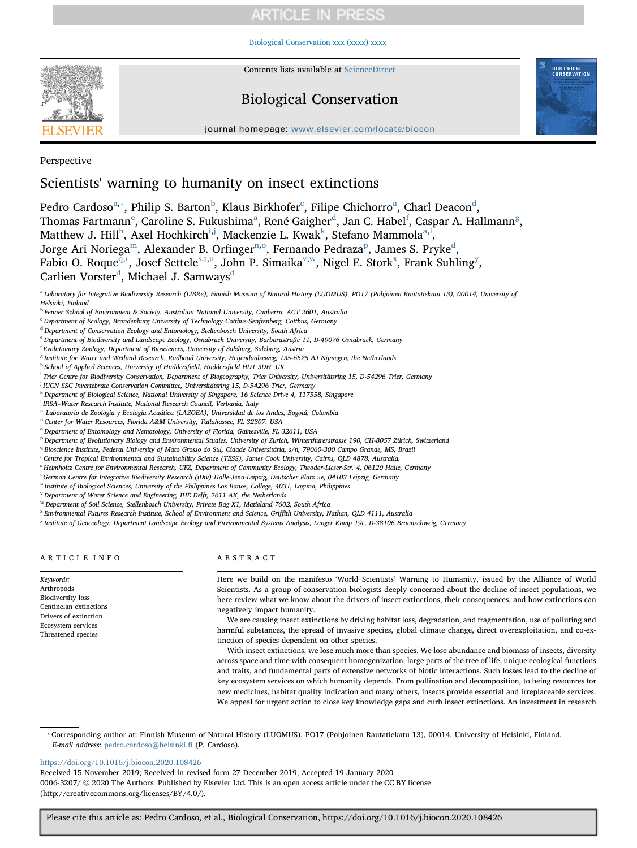#### [Biological Conservation xxx \(xxxx\) xxxx](https://doi.org/10.1016/j.biocon.2020.108426)



Contents lists available at [ScienceDirect](http://www.sciencedirect.com/science/journal/00063207)

# Biological Conservation



journal homepage: [www.elsevier.com/locate/biocon](https://www.elsevier.com/locate/biocon)

Perspective

## Scientists' warning to humanity on insect extinctions

Pedro C[a](#page-0-0)rdoso<sup>a,</sup>\*, Philip S. Barton<sup>[b](#page-0-2)</sup>, Klaus Birkhofer<sup>[c](#page-0-3)</sup>, Filipe Chichorro<sup>a</sup>, Charl Deacon<sup>[d](#page-0-4)</sup>, Thomas Fartmann<sup>[e](#page-0-5)</sup>, C[a](#page-0-0)roline S. Fukushima<sup>a</sup>, René Gaigher<sup>[d](#page-0-4)</sup>, Jan C. Habel<sup>[f](#page-0-6)</sup>, Caspar A. Hallmann<sup>[g](#page-0-7)</sup>, Matthew J. Hi[l](#page-0-12)l $^{\rm h}$ , Axel Hoch[k](#page-0-11)irch $^{\rm i,j}$  $^{\rm i,j}$  $^{\rm i,j}$  $^{\rm i,j}$ , Mackenzie L. Kwak $^{\rm k}$ , Stefano Mammola $^{\rm a,l}$  $^{\rm a,l}$  $^{\rm a,l}$ , J[o](#page-0-15)rge Ari Noriega $^{\rm m}$  $^{\rm m}$  $^{\rm m}$ , Alexa[n](#page-0-14)[d](#page-0-4)er B. Orfinger $^{\rm n,o}$ , Fernando Pedraza $^{\rm p}$  $^{\rm p}$  $^{\rm p}$ , James S. Pryke $^{\rm d}$ , Fabio O. Ro[q](#page-0-17)ue<sup>q[,r](#page-0-18)</sup>, Josef Settele<sup>[s,](#page-0-19)[t,](#page-0-20)[u](#page-0-21)</sup>, John P. Simaika<sup>[v](#page-0-22),w</sup>, Nigel E. Stork<sup>[x](#page-0-24)</sup>, Frank Suhling<sup>[y](#page-0-25)</sup>, Carlien Vorster<sup>[d](#page-0-4)</sup>, Michael J. Samways<sup>d</sup>

<span id="page-0-0"></span><sup>a</sup> Laboratory for Integrative Biodiversity Research (LIBRe), Finnish Museum of Natural History (LUOMUS), PO17 (Pohjoinen Rautatiekatu 13), 00014, University of Helsinki, Finland

- <span id="page-0-4"></span><sup>d</sup> Department of Conservation Ecology and Entomology, Stellenbosch University, South Africa
- <span id="page-0-5"></span><sup>e</sup> Department of Biodiversity and Landscape Ecology, Osnabrück University, Barbarastraße 11, D-49076 Osnabrück, Germany
- <span id="page-0-6"></span><sup>f</sup> Evolutionary Zoology, Department of Biosciences, University of Salzburg, Salzburg, Austria
- <span id="page-0-7"></span><sup>8</sup> Institute for Water and Wetland Research, Radboud University, Heijendaalseweg, 135-6525 AJ Nijmegen, the Netherlands
- <span id="page-0-8"></span><sup>h</sup> School of Applied Sciences, University of Huddersfield, Huddersfield HD1 3DH, UK
- <span id="page-0-9"></span>i Trier Centre for Biodiversity Conservation, Department of Biogeography, Trier University, Universitätsring 15, D-54296 Trier, Germany
- <span id="page-0-10"></span>j IUCN SSC Invertebrate Conservation Committee, Universitätsring 15, D-54296 Trier, Germany
- <span id="page-0-11"></span>k Department of Biological Science, National University of Singapore, 16 Science Drive 4, 117558, Singapore
- <span id="page-0-12"></span><sup>1</sup> IRSA–Water Research Institute, National Research Council, Verbania, Italy
- <span id="page-0-13"></span><sup>m</sup> Laboratorio de Zoología y Ecología Acuática (LAZOEA), Universidad de los Andes, Bogotá, Colombia
- <span id="page-0-14"></span><sup>n</sup> Center for Water Resources, Florida A&M University, Tallahassee, FL 32307, USA
- <span id="page-0-15"></span> $^{\circ}$  Department of Entomology and Nematology, University of Florida, Gainesville, FL 32611, USA
- <span id="page-0-16"></span>P Department of Evolutionary Biology and Environmental Studies, University of Zurich, Winterthurerstrasse 190, CH-8057 Zürich, Switzerland
- <span id="page-0-17"></span><sup>q</sup> Bioscience Institute, Federal University of Mato Grosso do Sul, Cidade Universitária, s/n, 79060-300 Campo Grande, MS, Brazil
- <span id="page-0-18"></span>r Centre for Tropical Environmental and Sustainability Science (TESS), James Cook University, Cairns, QLD 4878, Australia.
- <span id="page-0-19"></span>s Helmholtz Centre for Environmental Research, UFZ, Department of Community Ecology, Theodor-Lieser-Str. 4, 06120 Halle, Germany
- <span id="page-0-20"></span>t German Centre for Integrative Biodiversity Research (iDiv) Halle-Jena-Leipzig, Deutscher Platz 5e, 04103 Leipzig, Germany
- <span id="page-0-21"></span>u Institute of Biological Sciences, University of the Philippines Los Baños, College, 4031, Laguna, Philippines

<span id="page-0-22"></span> $v$  Department of Water Science and Engineering, IHE Delft, 2611 AX, the Netherlands

<span id="page-0-23"></span><sup>w</sup> Department of Soil Science, Stellenbosch University, Private Bag X1, Matieland 7602, South Africa

- <span id="page-0-24"></span><sup>x</sup> Environmental Futures Research Institute, School of Environment and Science, Griffith University, Nathan, QLD 4111, Australia
- <span id="page-0-25"></span><sup>y</sup> Institute of Geoecology, Department Landscape Ecology and Environmental Systems Analysis, Langer Kamp 19c, D-38106 Braunschweig, Germany

## ARTICLE INFO

Keywords: Arthropods Biodiversity loss Centinelan extinctions Drivers of extinction Ecosystem services Threatened species

## ABSTRACT

Here we build on the manifesto 'World Scientists' Warning to Humanity, issued by the Alliance of World Scientists. As a group of conservation biologists deeply concerned about the decline of insect populations, we here review what we know about the drivers of insect extinctions, their consequences, and how extinctions can negatively impact humanity.

We are causing insect extinctions by driving habitat loss, degradation, and fragmentation, use of polluting and harmful substances, the spread of invasive species, global climate change, direct overexploitation, and co-extinction of species dependent on other species.

With insect extinctions, we lose much more than species. We lose abundance and biomass of insects, diversity across space and time with consequent homogenization, large parts of the tree of life, unique ecological functions and traits, and fundamental parts of extensive networks of biotic interactions. Such losses lead to the decline of key ecosystem services on which humanity depends. From pollination and decomposition, to being resources for new medicines, habitat quality indication and many others, insects provide essential and irreplaceable services. We appeal for urgent action to close key knowledge gaps and curb insect extinctions. An investment in research

<span id="page-0-1"></span>⁎ Corresponding author at: Finnish Museum of Natural History (LUOMUS), PO17 (Pohjoinen Rautatiekatu 13), 00014, University of Helsinki, Finland. E-mail address: [pedro.cardoso@helsinki.](mailto:pedro.cardoso@helsinki.fi)fi (P. Cardoso).

<https://doi.org/10.1016/j.biocon.2020.108426>

Received 15 November 2019; Received in revised form 27 December 2019; Accepted 19 January 2020 0006-3207/ © 2020 The Authors. Published by Elsevier Ltd. This is an open access article under the CC BY license (http://creativecommons.org/licenses/BY/4.0/).

<span id="page-0-2"></span><sup>b</sup> Fenner School of Environment & Society, Australian National University, Canberra, ACT 2601, Australia

<span id="page-0-3"></span><sup>c</sup> Department of Ecology, Brandenburg University of Technology Cottbus-Senftenberg, Cottbus, Germany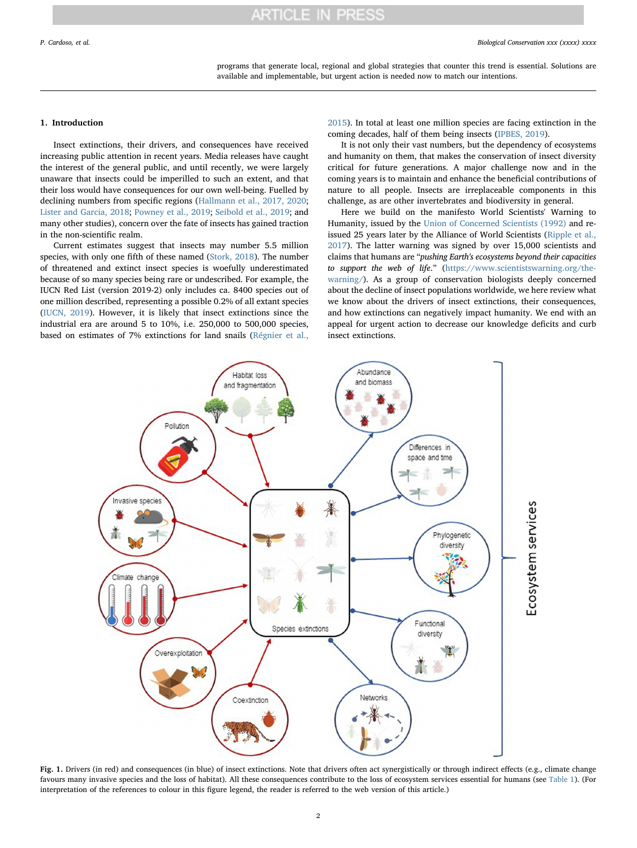programs that generate local, regional and global strategies that counter this trend is essential. Solutions are available and implementable, but urgent action is needed now to match our intentions.

## 1. Introduction

Insect extinctions, their drivers, and consequences have received increasing public attention in recent years. Media releases have caught the interest of the general public, and until recently, we were largely unaware that insects could be imperilled to such an extent, and that their loss would have consequences for our own well-being. Fuelled by declining numbers from specific regions ([Hallmann et al., 2017, 2020](#page-8-0); [Lister and Garcia, 2018;](#page-9-0) [Powney et al., 2019;](#page-9-1) [Seibold et al., 2019;](#page-10-0) and many other studies), concern over the fate of insects has gained traction in the non-scientific realm.

Current estimates suggest that insects may number 5.5 million species, with only one fifth of these named [\(Stork, 2018\)](#page-10-1). The number of threatened and extinct insect species is woefully underestimated because of so many species being rare or undescribed. For example, the IUCN Red List (version 2019-2) only includes ca. 8400 species out of one million described, representing a possible 0.2% of all extant species ([IUCN, 2019\)](#page-8-1). However, it is likely that insect extinctions since the industrial era are around 5 to 10%, i.e. 250,000 to 500,000 species, based on estimates of 7% extinctions for land snails ([Régnier et al.,](#page-9-2)

[2015\)](#page-9-2). In total at least one million species are facing extinction in the coming decades, half of them being insects ([IPBES, 2019](#page-8-2)).

It is not only their vast numbers, but the dependency of ecosystems and humanity on them, that makes the conservation of insect diversity critical for future generations. A major challenge now and in the coming years is to maintain and enhance the beneficial contributions of nature to all people. Insects are irreplaceable components in this challenge, as are other invertebrates and biodiversity in general.

Here we build on the manifesto World Scientists' Warning to Humanity, issued by the [Union of Concerned Scientists \(1992\)](#page-10-2) and reissued 25 years later by the Alliance of World Scientists ([Ripple et al.,](#page-9-3) [2017\)](#page-9-3). The latter warning was signed by over 15,000 scientists and claims that humans are "pushing Earth's ecosystems beyond their capacities to support the web of life." ([https://www.scientistswarning.org/the](https://www.scientistswarning.org/the-warning/)[warning/\)](https://www.scientistswarning.org/the-warning/). As a group of conservation biologists deeply concerned about the decline of insect populations worldwide, we here review what we know about the drivers of insect extinctions, their consequences, and how extinctions can negatively impact humanity. We end with an appeal for urgent action to decrease our knowledge deficits and curb insect extinctions.

<span id="page-1-0"></span>

Fig. 1. Drivers (in red) and consequences (in blue) of insect extinctions. Note that drivers often act synergistically or through indirect effects (e.g., climate change favours many invasive species and the loss of habitat). All these consequences contribute to the loss of ecosystem services essential for humans (see [Table 1](#page-5-0)). (For interpretation of the references to colour in this figure legend, the reader is referred to the web version of this article.)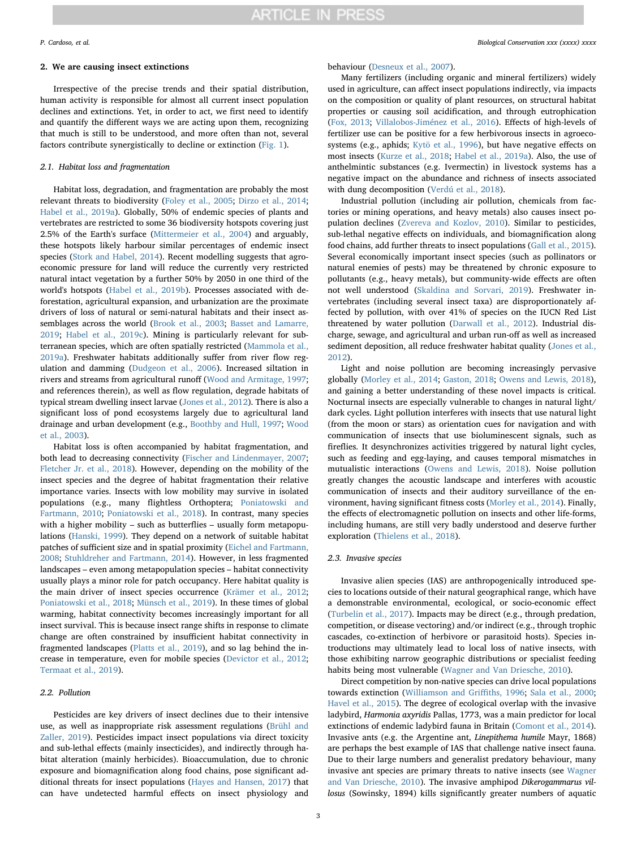#### 2. We are causing insect extinctions

Irrespective of the precise trends and their spatial distribution, human activity is responsible for almost all current insect population declines and extinctions. Yet, in order to act, we first need to identify and quantify the different ways we are acting upon them, recognizing that much is still to be understood, and more often than not, several factors contribute synergistically to decline or extinction ([Fig. 1](#page-1-0)).

## 2.1. Habitat loss and fragmentation

Habitat loss, degradation, and fragmentation are probably the most relevant threats to biodiversity [\(Foley et al., 2005;](#page-8-3) [Dirzo et al., 2014](#page-8-4); [Habel et al., 2019a](#page-8-5)). Globally, 50% of endemic species of plants and vertebrates are restricted to some 36 biodiversity hotspots covering just 2.5% of the Earth's surface ([Mittermeier et al., 2004](#page-9-4)) and arguably, these hotspots likely harbour similar percentages of endemic insect species [\(Stork and Habel, 2014\)](#page-10-3). Recent modelling suggests that agroeconomic pressure for land will reduce the currently very restricted natural intact vegetation by a further 50% by 2050 in one third of the world's hotspots [\(Habel et al., 2019b](#page-8-6)). Processes associated with deforestation, agricultural expansion, and urbanization are the proximate drivers of loss of natural or semi-natural habitats and their insect assemblages across the world [\(Brook et al., 2003;](#page-7-0) [Basset and Lamarre,](#page-7-1) [2019;](#page-7-1) [Habel et al., 2019c\)](#page-8-7). Mining is particularly relevant for subterranean species, which are often spatially restricted [\(Mammola et al.,](#page-9-5) [2019a\)](#page-9-5). Freshwater habitats additionally suffer from river flow regulation and damming ([Dudgeon et al., 2006](#page-8-8)). Increased siltation in rivers and streams from agricultural runoff [\(Wood and Armitage, 1997](#page-10-4); and references therein), as well as flow regulation, degrade habitats of typical stream dwelling insect larvae ([Jones et al., 2012\)](#page-8-9). There is also a significant loss of pond ecosystems largely due to agricultural land drainage and urban development (e.g., [Boothby and Hull, 1997](#page-7-2); [Wood](#page-11-0) [et al., 2003](#page-11-0)).

Habitat loss is often accompanied by habitat fragmentation, and both lead to decreasing connectivity [\(Fischer and Lindenmayer, 2007](#page-8-10); [Fletcher Jr. et al., 2018](#page-8-11)). However, depending on the mobility of the insect species and the degree of habitat fragmentation their relative importance varies. Insects with low mobility may survive in isolated populations (e.g., many flightless Orthoptera; [Poniatowski and](#page-9-6) [Fartmann, 2010](#page-9-6); [Poniatowski et al., 2018\)](#page-9-7). In contrast, many species with a higher mobility – such as butterflies – usually form metapopulations [\(Hanski, 1999\)](#page-8-12). They depend on a network of suitable habitat patches of sufficient size and in spatial proximity ([Eichel and Fartmann,](#page-8-13) [2008;](#page-8-13) [Stuhldreher and Fartmann, 2014](#page-10-5)). However, in less fragmented landscapes – even among metapopulation species – habitat connectivity usually plays a minor role for patch occupancy. Here habitat quality is the main driver of insect species occurrence ([Krämer et al., 2012](#page-9-8); [Poniatowski et al., 2018](#page-9-7); [Münsch et al., 2019](#page-9-9)). In these times of global warming, habitat connectivity becomes increasingly important for all insect survival. This is because insect range shifts in response to climate change are often constrained by insufficient habitat connectivity in fragmented landscapes ([Platts et al., 2019](#page-9-10)), and so lag behind the increase in temperature, even for mobile species ([Devictor et al., 2012](#page-8-14); [Termaat et al., 2019](#page-10-6)).

### 2.2. Pollution

Pesticides are key drivers of insect declines due to their intensive use, as well as inappropriate risk assessment regulations [\(Brühl and](#page-7-3) [Zaller, 2019\)](#page-7-3). Pesticides impact insect populations via direct toxicity and sub-lethal effects (mainly insecticides), and indirectly through habitat alteration (mainly herbicides). Bioaccumulation, due to chronic exposure and biomagnification along food chains, pose significant additional threats for insect populations [\(Hayes and Hansen, 2017\)](#page-8-15) that can have undetected harmful effects on insect physiology and

#### behaviour ([Desneux et al., 2007\)](#page-8-16).

Many fertilizers (including organic and mineral fertilizers) widely used in agriculture, can affect insect populations indirectly, via impacts on the composition or quality of plant resources, on structural habitat properties or causing soil acidification, and through eutrophication ([Fox, 2013;](#page-8-17) [Villalobos-Jiménez et al., 2016\)](#page-10-7). Effects of high-levels of fertilizer use can be positive for a few herbivorous insects in agroecosystems (e.g., aphids; [Kytö et al., 1996](#page-9-11)), but have negative effects on most insects ([Kurze et al., 2018](#page-9-12); [Habel et al., 2019a\)](#page-8-5). Also, the use of anthelmintic substances (e.g. Ivermectin) in livestock systems has a negative impact on the abundance and richness of insects associated with dung decomposition ([Verdú et al., 2018\)](#page-10-8).

Industrial pollution (including air pollution, chemicals from factories or mining operations, and heavy metals) also causes insect population declines [\(Zvereva and Kozlov, 2010\)](#page-11-1). Similar to pesticides, sub-lethal negative effects on individuals, and biomagnification along food chains, add further threats to insect populations ([Gall et al., 2015](#page-8-18)). Several economically important insect species (such as pollinators or natural enemies of pests) may be threatened by chronic exposure to pollutants (e.g., heavy metals), but community-wide effects are often not well understood [\(Skaldina and Sorvari, 2019](#page-10-9)). Freshwater invertebrates (including several insect taxa) are disproportionately affected by pollution, with over 41% of species on the IUCN Red List threatened by water pollution [\(Darwall et al., 2012](#page-8-19)). Industrial discharge, sewage, and agricultural and urban run-off as well as increased sediment deposition, all reduce freshwater habitat quality ([Jones et al.,](#page-8-9) [2012\)](#page-8-9).

Light and noise pollution are becoming increasingly pervasive globally ([Morley et al., 2014;](#page-9-13) [Gaston, 2018;](#page-8-20) [Owens and Lewis, 2018](#page-9-14)), and gaining a better understanding of these novel impacts is critical. Nocturnal insects are especially vulnerable to changes in natural light/ dark cycles. Light pollution interferes with insects that use natural light (from the moon or stars) as orientation cues for navigation and with communication of insects that use bioluminescent signals, such as fireflies. It desynchronizes activities triggered by natural light cycles, such as feeding and egg-laying, and causes temporal mismatches in mutualistic interactions [\(Owens and Lewis, 2018](#page-9-14)). Noise pollution greatly changes the acoustic landscape and interferes with acoustic communication of insects and their auditory surveillance of the environment, having significant fitness costs [\(Morley et al., 2014](#page-9-13)). Finally, the effects of electromagnetic pollution on insects and other life-forms, including humans, are still very badly understood and deserve further exploration ([Thielens et al., 2018\)](#page-10-10).

### 2.3. Invasive species

Invasive alien species (IAS) are anthropogenically introduced species to locations outside of their natural geographical range, which have a demonstrable environmental, ecological, or socio-economic effect ([Turbelin et al., 2017](#page-10-11)). Impacts may be direct (e.g., through predation, competition, or disease vectoring) and/or indirect (e.g., through trophic cascades, co-extinction of herbivore or parasitoid hosts). Species introductions may ultimately lead to local loss of native insects, with those exhibiting narrow geographic distributions or specialist feeding habits being most vulnerable [\(Wagner and Van Driesche, 2010\)](#page-10-12).

Direct competition by non-native species can drive local populations towards extinction [\(Williamson and Gri](#page-10-13)ffiths, 1996; [Sala et al., 2000](#page-10-14); [Havel et al., 2015](#page-8-21)). The degree of ecological overlap with the invasive ladybird, Harmonia axyridis Pallas, 1773, was a main predictor for local extinctions of endemic ladybird fauna in Britain [\(Comont et al., 2014](#page-8-22)). Invasive ants (e.g. the Argentine ant, Linepithema humile Mayr, 1868) are perhaps the best example of IAS that challenge native insect fauna. Due to their large numbers and generalist predatory behaviour, many invasive ant species are primary threats to native insects (see [Wagner](#page-10-12) [and Van Driesche, 2010](#page-10-12)). The invasive amphipod Dikerogammarus villosus (Sowinsky, 1894) kills significantly greater numbers of aquatic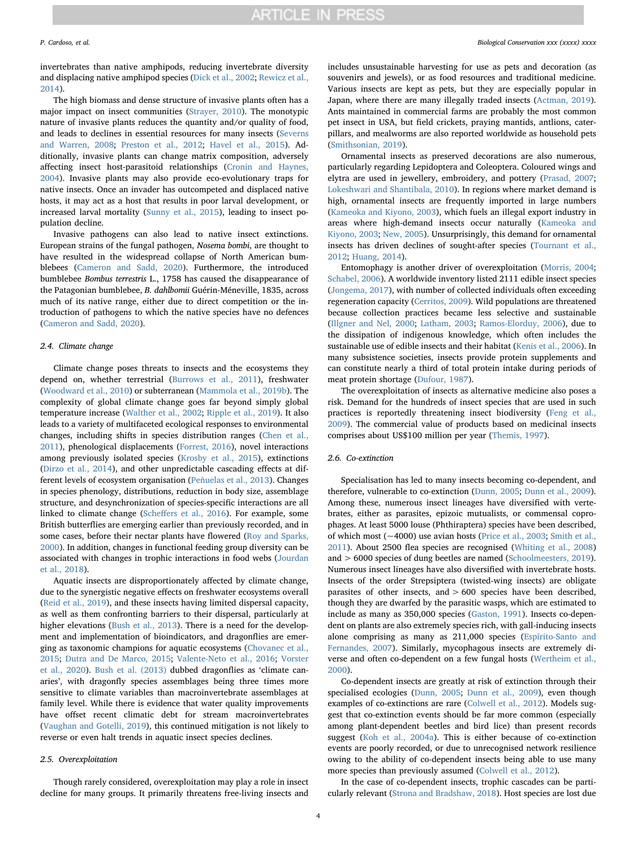invertebrates than native amphipods, reducing invertebrate diversity and displacing native amphipod species [\(Dick et al., 2002](#page-8-23); [Rewicz et al.,](#page-9-15) [2014\)](#page-9-15).

The high biomass and dense structure of invasive plants often has a major impact on insect communities ([Strayer, 2010\)](#page-10-15). The monotypic nature of invasive plants reduces the quantity and/or quality of food, and leads to declines in essential resources for many insects ([Severns](#page-10-16) [and Warren, 2008](#page-10-16); [Preston et al., 2012](#page-9-16); [Havel et al., 2015](#page-8-21)). Additionally, invasive plants can change matrix composition, adversely affecting insect host-parasitoid relationships [\(Cronin and Haynes,](#page-8-24) [2004\)](#page-8-24). Invasive plants may also provide eco-evolutionary traps for native insects. Once an invader has outcompeted and displaced native hosts, it may act as a host that results in poor larval development, or increased larval mortality [\(Sunny et al., 2015\)](#page-10-17), leading to insect population decline.

Invasive pathogens can also lead to native insect extinctions. European strains of the fungal pathogen, Nosema bombi, are thought to have resulted in the widespread collapse of North American bumblebees [\(Cameron and Sadd, 2020\)](#page-7-4). Furthermore, the introduced bumblebee Bombus terrestris L., 1758 has caused the disappearance of the Patagonian bumblebee, B. dahlbomii Guérin-Méneville, 1835, across much of its native range, either due to direct competition or the introduction of pathogens to which the native species have no defences ([Cameron and Sadd, 2020\)](#page-7-4).

#### 2.4. Climate change

Climate change poses threats to insects and the ecosystems they depend on, whether terrestrial [\(Burrows et al., 2011\)](#page-7-5), freshwater ([Woodward et al., 2010\)](#page-11-2) or subterranean ([Mammola et al., 2019b](#page-9-17)). The complexity of global climate change goes far beyond simply global temperature increase ([Walther et al., 2002;](#page-10-18) [Ripple et al., 2019](#page-9-18)). It also leads to a variety of multifaceted ecological responses to environmental changes, including shifts in species distribution ranges [\(Chen et al.,](#page-7-6) [2011\)](#page-7-6), phenological displacements [\(Forrest, 2016](#page-8-25)), novel interactions among previously isolated species [\(Krosby et al., 2015\)](#page-9-19), extinctions ([Dirzo et al., 2014\)](#page-8-4), and other unpredictable cascading effects at different levels of ecosystem organisation ([Peñuelas et al., 2013\)](#page-9-20). Changes in species phenology, distributions, reduction in body size, assemblage structure, and desynchronization of species-specific interactions are all linked to climate change (Scheff[ers et al., 2016\)](#page-10-19). For example, some British butterflies are emerging earlier than previously recorded, and in some cases, before their nectar plants have flowered ([Roy and Sparks,](#page-9-21) [2000\)](#page-9-21). In addition, changes in functional feeding group diversity can be associated with changes in trophic interactions in food webs ([Jourdan](#page-8-26) [et al., 2018](#page-8-26)).

Aquatic insects are disproportionately affected by climate change, due to the synergistic negative effects on freshwater ecosystems overall ([Reid et al., 2019](#page-9-22)), and these insects having limited dispersal capacity, as well as them confronting barriers to their dispersal, particularly at higher elevations ([Bush et al., 2013\)](#page-7-7). There is a need for the development and implementation of bioindicators, and dragonflies are emerging as taxonomic champions for aquatic ecosystems ([Chovanec et al.,](#page-7-8) [2015;](#page-7-8) [Dutra and De Marco, 2015;](#page-8-27) [Valente-Neto et al., 2016](#page-10-20); [Vorster](#page-10-21) [et al., 2020](#page-10-21)). [Bush et al. \(2013\)](#page-7-7) dubbed dragonflies as 'climate canaries', with dragonfly species assemblages being three times more sensitive to climate variables than macroinvertebrate assemblages at family level. While there is evidence that water quality improvements have offset recent climatic debt for stream macroinvertebrates ([Vaughan and Gotelli, 2019\)](#page-10-22), this continued mitigation is not likely to reverse or even halt trends in aquatic insect species declines.

#### 2.5. Overexploitation

Though rarely considered, overexploitation may play a role in insect decline for many groups. It primarily threatens free-living insects and includes unsustainable harvesting for use as pets and decoration (as souvenirs and jewels), or as food resources and traditional medicine. Various insects are kept as pets, but they are especially popular in Japan, where there are many illegally traded insects [\(Actman, 2019](#page-7-9)). Ants maintained in commercial farms are probably the most common pet insect in USA, but field crickets, praying mantids, antlions, caterpillars, and mealworms are also reported worldwide as household pets ([Smithsonian, 2019](#page-10-23)).

Ornamental insects as preserved decorations are also numerous, particularly regarding Lepidoptera and Coleoptera. Coloured wings and elytra are used in jewellery, embroidery, and pottery [\(Prasad, 2007](#page-9-23); [Lokeshwari and Shantibala, 2010\)](#page-9-24). In regions where market demand is high, ornamental insects are frequently imported in large numbers ([Kameoka and Kiyono, 2003\)](#page-8-28), which fuels an illegal export industry in areas where high-demand insects occur naturally [\(Kameoka and](#page-8-28) [Kiyono, 2003;](#page-8-28) [New, 2005](#page-9-25)). Unsurprisingly, this demand for ornamental insects has driven declines of sought-after species [\(Tournant et al.,](#page-10-24) [2012;](#page-10-24) [Huang, 2014](#page-8-29)).

Entomophagy is another driver of overexploitation ([Morris, 2004](#page-9-26); [Schabel, 2006\)](#page-10-25). A worldwide inventory listed 2111 edible insect species ([Jongema, 2017\)](#page-8-30), with number of collected individuals often exceeding regeneration capacity ([Cerritos,](#page-7-10) 2009). Wild populations are threatened because collection practices became less selective and sustainable ([Illgner and Nel, 2000;](#page-8-31) [Latham, 2003](#page-9-27); [Ramos-Elorduy, 2006\)](#page-9-28), due to the dissipation of indigenous knowledge, which often includes the sustainable use of edible insects and their habitat ([Kenis et al., 2006](#page-8-32)). In many subsistence societies, insects provide protein supplements and can constitute nearly a third of total protein intake during periods of meat protein shortage ([Dufour, 1987](#page-8-33)).

The overexploitation of insects as alternative medicine also poses a risk. Demand for the hundreds of insect species that are used in such practices is reportedly threatening insect biodiversity ([Feng et al.,](#page-8-34) [2009\)](#page-8-34). The commercial value of products based on medicinal insects comprises about US\$100 million per year [\(Themis, 1997\)](#page-10-26).

#### 2.6. Co-extinction

Specialisation has led to many insects becoming co-dependent, and therefore, vulnerable to co-extinction [\(Dunn, 2005;](#page-8-35) [Dunn et al., 2009](#page-8-36)). Among these, numerous insect lineages have diversified with vertebrates, either as parasites, epizoic mutualists, or commensal coprophages. At least 5000 louse (Phthiraptera) species have been described, of which most (~4000) use avian hosts [\(Price et al., 2003](#page-9-29); [Smith et al.,](#page-10-27) [2011\)](#page-10-27). About 2500 flea species are recognised [\(Whiting et al., 2008\)](#page-10-28) and > 6000 species of dung beetles are named ([Schoolmeesters, 2019](#page-10-29)). Numerous insect lineages have also diversified with invertebrate hosts. Insects of the order Strepsiptera (twisted-wing insects) are obligate parasites of other insects, and > 600 species have been described, though they are dwarfed by the parasitic wasps, which are estimated to include as many as 350,000 species ([Gaston, 1991](#page-8-37)). Insects co-dependent on plants are also extremely species rich, with gall-inducing insects alone comprising as many as 211,000 species [\(Espírito-Santo and](#page-8-38) [Fernandes, 2007\)](#page-8-38). Similarly, mycophagous insects are extremely diverse and often co-dependent on a few fungal hosts [\(Wertheim et al.,](#page-10-30) [2000\)](#page-10-30).

Co-dependent insects are greatly at risk of extinction through their specialised ecologies ([Dunn, 2005;](#page-8-35) [Dunn et al., 2009](#page-8-36)), even though examples of co-extinctions are rare [\(Colwell et al., 2012](#page-8-39)). Models suggest that co-extinction events should be far more common (especially among plant-dependent beetles and bird lice) than present records suggest ([Koh et al., 2004a\)](#page-9-30). This is either because of co-extinction events are poorly recorded, or due to unrecognised network resilience owing to the ability of co-dependent insects being able to use many more species than previously assumed [\(Colwell et al., 2012](#page-8-39)).

In the case of co-dependent insects, trophic cascades can be particularly relevant [\(Strona and Bradshaw, 2018](#page-10-31)). Host species are lost due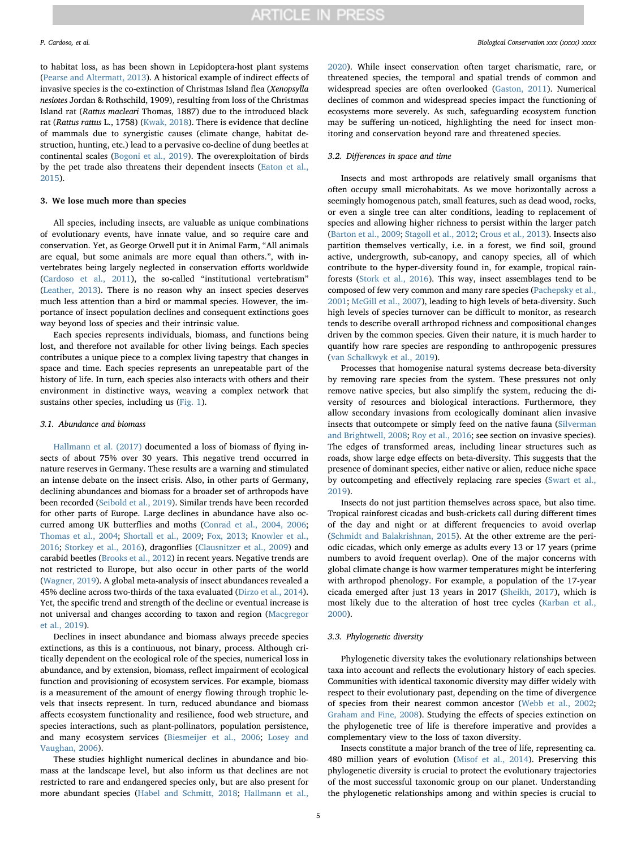to habitat loss, as has been shown in Lepidoptera-host plant systems ([Pearse and Altermatt, 2013\)](#page-9-31). A historical example of indirect effects of invasive species is the co-extinction of Christmas Island flea (Xenopsylla nesiotes Jordan & Rothschild, 1909), resulting from loss of the Christmas Island rat (Rattus macleari Thomas, 1887) due to the introduced black rat (Rattus rattus L., 1758) [\(Kwak, 2018](#page-9-32)). There is evidence that decline of mammals due to synergistic causes (climate change, habitat destruction, hunting, etc.) lead to a pervasive co-decline of dung beetles at continental scales ([Bogoni et al., 2019\)](#page-7-11). The overexploitation of birds by the pet trade also threatens their dependent insects [\(Eaton et al.,](#page-8-40) [2015\)](#page-8-40).

#### 3. We lose much more than species

All species, including insects, are valuable as unique combinations of evolutionary events, have innate value, and so require care and conservation. Yet, as George Orwell put it in Animal Farm, "All animals are equal, but some animals are more equal than others.", with invertebrates being largely neglected in conservation efforts worldwide ([Cardoso et al., 2011\)](#page-7-12), the so-called "institutional vertebratism" ([Leather, 2013](#page-9-33)). There is no reason why an insect species deserves much less attention than a bird or mammal species. However, the importance of insect population declines and consequent extinctions goes way beyond loss of species and their intrinsic value.

Each species represents individuals, biomass, and functions being lost, and therefore not available for other living beings. Each species contributes a unique piece to a complex living tapestry that changes in space and time. Each species represents an unrepeatable part of the history of life. In turn, each species also interacts with others and their environment in distinctive ways, weaving a complex network that sustains other species, including us [\(Fig. 1](#page-1-0)).

## 3.1. Abundance and biomass

[Hallmann et al. \(2017\)](#page-8-0) documented a loss of biomass of flying insects of about 75% over 30 years. This negative trend occurred in nature reserves in Germany. These results are a warning and stimulated an intense debate on the insect crisis. Also, in other parts of Germany, declining abundances and biomass for a broader set of arthropods have been recorded ([Seibold et al., 2019\)](#page-10-0). Similar trends have been recorded for other parts of Europe. Large declines in abundance have also occurred among UK butterflies and moths ([Conrad et al., 2004, 2006](#page-8-41); [Thomas et al., 2004](#page-10-32); [Shortall et al., 2009](#page-10-33); [Fox, 2013;](#page-8-17) [Knowler et al.,](#page-9-34) [2016;](#page-9-34) [Storkey et al., 2016](#page-10-34)), dragonflies ([Clausnitzer et al., 2009\)](#page-7-13) and carabid beetles [\(Brooks et al., 2012](#page-7-14)) in recent years. Negative trends are not restricted to Europe, but also occur in other parts of the world ([Wagner, 2019\)](#page-10-35). A global meta-analysis of insect abundances revealed a 45% decline across two-thirds of the taxa evaluated ([Dirzo et al., 2014](#page-8-4)). Yet, the specific trend and strength of the decline or eventual increase is not universal and changes according to taxon and region [\(Macgregor](#page-9-35) [et al., 2019](#page-9-35)).

Declines in insect abundance and biomass always precede species extinctions, as this is a continuous, not binary, process. Although critically dependent on the ecological role of the species, numerical loss in abundance, and by extension, biomass, reflect impairment of ecological function and provisioning of ecosystem services. For example, biomass is a measurement of the amount of energy flowing through trophic levels that insects represent. In turn, reduced abundance and biomass affects ecosystem functionality and resilience, food web structure, and species interactions, such as plant-pollinators, population persistence, and many ecosystem services ([Biesmeijer et al., 2006;](#page-7-15) [Losey and](#page-9-36) [Vaughan, 2006\)](#page-9-36).

These studies highlight numerical declines in abundance and biomass at the landscape level, but also inform us that declines are not restricted to rare and endangered species only, but are also present for more abundant species ([Habel and Schmitt, 2018](#page-8-42); [Hallmann et al.,](#page-8-43)

[2020\)](#page-8-43). While insect conservation often target charismatic, rare, or threatened species, the temporal and spatial trends of common and widespread species are often overlooked [\(Gaston, 2011\)](#page-8-44). Numerical declines of common and widespread species impact the functioning of ecosystems more severely. As such, safeguarding ecosystem function may be suffering un-noticed, highlighting the need for insect monitoring and conservation beyond rare and threatened species.

### 3.2. Differences in space and time

Insects and most arthropods are relatively small organisms that often occupy small microhabitats. As we move horizontally across a seemingly homogenous patch, small features, such as dead wood, rocks, or even a single tree can alter conditions, leading to replacement of species and allowing higher richness to persist within the larger patch ([Barton et al., 2009;](#page-7-16) [Stagoll et al., 2012;](#page-10-36) [Crous et al., 2013\)](#page-8-45). Insects also partition themselves vertically, i.e. in a forest, we find soil, ground active, undergrowth, sub-canopy, and canopy species, all of which contribute to the hyper-diversity found in, for example, tropical rainforests [\(Stork et al., 2016\)](#page-10-37). This way, insect assemblages tend to be composed of few very common and many rare species [\(Pachepsky et al.,](#page-9-37) [2001;](#page-9-37) [McGill et al., 2007](#page-9-38)), leading to high levels of beta-diversity. Such high levels of species turnover can be difficult to monitor, as research tends to describe overall arthropod richness and compositional changes driven by the common species. Given their nature, it is much harder to quantify how rare species are responding to anthropogenic pressures ([van Schalkwyk et al., 2019](#page-10-38)).

Processes that homogenise natural systems decrease beta-diversity by removing rare species from the system. These pressures not only remove native species, but also simplify the system, reducing the diversity of resources and biological interactions. Furthermore, they allow secondary invasions from ecologically dominant alien invasive insects that outcompete or simply feed on the native fauna [\(Silverman](#page-10-39) [and Brightwell, 2008;](#page-10-39) [Roy et al., 2016](#page-9-39); see section on invasive species). The edges of transformed areas, including linear structures such as roads, show large edge effects on beta-diversity. This suggests that the presence of dominant species, either native or alien, reduce niche space by outcompeting and effectively replacing rare species ([Swart et al.,](#page-10-40) [2019\)](#page-10-40).

Insects do not just partition themselves across space, but also time. Tropical rainforest cicadas and bush-crickets call during different times of the day and night or at different frequencies to avoid overlap ([Schmidt and Balakrishnan, 2015\)](#page-10-41). At the other extreme are the periodic cicadas, which only emerge as adults every 13 or 17 years (prime numbers to avoid frequent overlap). One of the major concerns with global climate change is how warmer temperatures might be interfering with arthropod phenology. For example, a population of the 17-year cicada emerged after just 13 years in 2017 [\(Sheikh, 2017\)](#page-10-42), which is most likely due to the alteration of host tree cycles [\(Karban et al.,](#page-8-46) [2000\)](#page-8-46).

### 3.3. Phylogenetic diversity

Phylogenetic diversity takes the evolutionary relationships between taxa into account and reflects the evolutionary history of each species. Communities with identical taxonomic diversity may differ widely with respect to their evolutionary past, depending on the time of divergence of species from their nearest common ancestor ([Webb et al., 2002](#page-10-43); [Graham and Fine, 2008\)](#page-8-47). Studying the effects of species extinction on the phylogenetic tree of life is therefore imperative and provides a complementary view to the loss of taxon diversity.

Insects constitute a major branch of the tree of life, representing ca. 480 million years of evolution [\(Misof et al., 2014](#page-9-40)). Preserving this phylogenetic diversity is crucial to protect the evolutionary trajectories of the most successful taxonomic group on our planet. Understanding the phylogenetic relationships among and within species is crucial to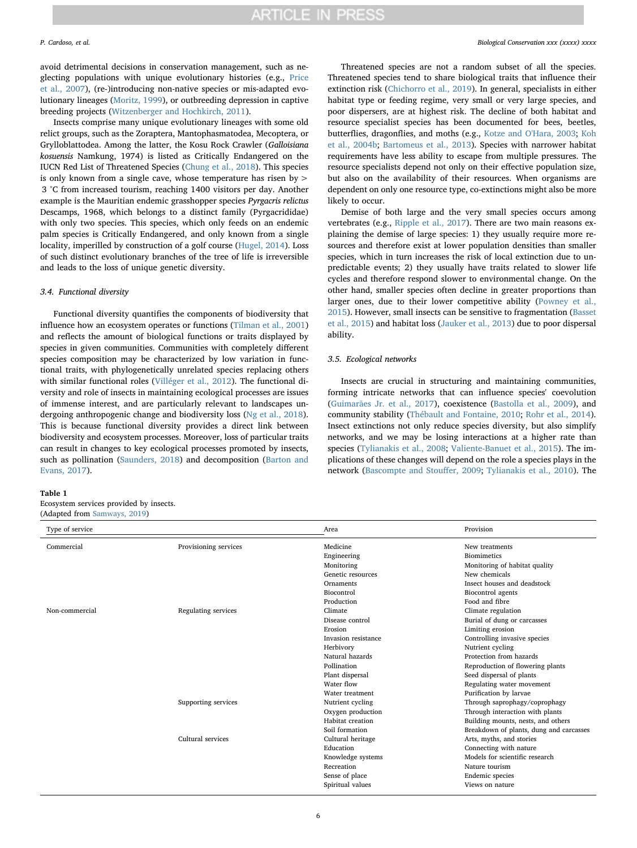avoid detrimental decisions in conservation management, such as neglecting populations with unique evolutionary histories (e.g., [Price](#page-9-41) [et al., 2007\)](#page-9-41), (re-)introducing non-native species or mis-adapted evolutionary lineages [\(Moritz, 1999\)](#page-9-42), or outbreeding depression in captive breeding projects ([Witzenberger and Hochkirch, 2011\)](#page-10-44).

Insects comprise many unique evolutionary lineages with some old relict groups, such as the Zoraptera, Mantophasmatodea, Mecoptera, or Grylloblattodea. Among the latter, the Kosu Rock Crawler (Galloisiana kosuensis Namkung, 1974) is listed as Critically Endangered on the IUCN Red List of Threatened Species [\(Chung et al., 2018\)](#page-7-17). This species is only known from a single cave, whose temperature has risen by  $>$ 3 °C from increased tourism, reaching 1400 visitors per day. Another example is the Mauritian endemic grasshopper species Pyrgacris relictus Descamps, 1968, which belongs to a distinct family (Pyrgacrididae) with only two species. This species, which only feeds on an endemic palm species is Critically Endangered, and only known from a single locality, imperilled by construction of a golf course ([Hugel, 2014](#page-8-48)). Loss of such distinct evolutionary branches of the tree of life is irreversible and leads to the loss of unique genetic diversity.

### 3.4. Functional diversity

Functional diversity quantifies the components of biodiversity that influence how an ecosystem operates or functions [\(Tilman et al., 2001\)](#page-10-45) and reflects the amount of biological functions or traits displayed by species in given communities. Communities with completely different species composition may be characterized by low variation in functional traits, with phylogenetically unrelated species replacing others with similar functional roles ([Villéger et al., 2012](#page-10-46)). The functional diversity and role of insects in maintaining ecological processes are issues of immense interest, and are particularly relevant to landscapes undergoing anthropogenic change and biodiversity loss ([Ng et al., 2018](#page-9-43)). This is because functional diversity provides a direct link between biodiversity and ecosystem processes. Moreover, loss of particular traits can result in changes to key ecological processes promoted by insects, such as pollination [\(Saunders, 2018\)](#page-10-47) and decomposition ([Barton and](#page-7-18) [Evans, 2017](#page-7-18)).

#### <span id="page-5-0"></span>Table 1

Ecosystem services provided by insects. (Adapted from [Samways, 2019\)](#page-10-52)

Threatened species are not a random subset of all the species. Threatened species tend to share biological traits that influence their extinction risk ([Chichorro et al., 2019](#page-7-19)). In general, specialists in either habitat type or feeding regime, very small or very large species, and poor dispersers, are at highest risk. The decline of both habitat and resource specialist species has been documented for bees, beetles, butterflies, dragonflies, and moths (e.g., [Kotze and O'Hara, 2003;](#page-9-44) [Koh](#page-9-45) [et al., 2004b;](#page-9-45) [Bartomeus et al., 2013\)](#page-7-20). Species with narrower habitat requirements have less ability to escape from multiple pressures. The resource specialists depend not only on their effective population size, but also on the availability of their resources. When organisms are dependent on only one resource type, co-extinctions might also be more likely to occur.

Demise of both large and the very small species occurs among vertebrates (e.g., [Ripple et al., 2017](#page-9-3)). There are two main reasons explaining the demise of large species: 1) they usually require more resources and therefore exist at lower population densities than smaller species, which in turn increases the risk of local extinction due to unpredictable events; 2) they usually have traits related to slower life cycles and therefore respond slower to environmental change. On the other hand, smaller species often decline in greater proportions than larger ones, due to their lower competitive ability ([Powney et al.,](#page-9-46) [2015\)](#page-9-46). However, small insects can be sensitive to fragmentation ([Basset](#page-7-21) [et al., 2015\)](#page-7-21) and habitat loss [\(Jauker et al., 2013](#page-8-49)) due to poor dispersal ability.

#### 3.5. Ecological networks

Insects are crucial in structuring and maintaining communities, forming intricate networks that can influence species' coevolution ([Guimarães Jr. et al., 2017](#page-8-50)), coexistence ([Bastolla et al., 2009\)](#page-7-22), and community stability [\(Thébault and Fontaine, 2010;](#page-10-48) [Rohr et al., 2014](#page-9-47)). Insect extinctions not only reduce species diversity, but also simplify networks, and we may be losing interactions at a higher rate than species [\(Tylianakis et al., 2008](#page-10-49); [Valiente-Banuet et al., 2015\)](#page-10-50). The implications of these changes will depend on the role a species plays in the network ([Bascompte and Stou](#page-7-23)ffer, 2009; [Tylianakis et al., 2010](#page-10-51)). The

| Type of service |                       | Area                | Provision                               |
|-----------------|-----------------------|---------------------|-----------------------------------------|
| Commercial      | Provisioning services | Medicine            | New treatments                          |
|                 |                       | Engineering         | <b>Biomimetics</b>                      |
|                 |                       | Monitoring          | Monitoring of habitat quality           |
|                 |                       | Genetic resources   | New chemicals                           |
|                 |                       | Ornaments           | Insect houses and deadstock             |
|                 |                       | Biocontrol          | Biocontrol agents                       |
|                 |                       | Production          | Food and fibre                          |
| Non-commercial  | Regulating services   | Climate             | Climate regulation                      |
|                 |                       | Disease control     | Burial of dung or carcasses             |
|                 |                       | Erosion             | Limiting erosion                        |
|                 |                       | Invasion resistance | Controlling invasive species            |
|                 |                       | Herbivory           | Nutrient cycling                        |
|                 |                       | Natural hazards     | Protection from hazards                 |
|                 |                       | Pollination         | Reproduction of flowering plants        |
|                 |                       | Plant dispersal     | Seed dispersal of plants                |
|                 |                       | Water flow          | Regulating water movement               |
|                 |                       | Water treatment     | Purification by larvae                  |
|                 | Supporting services   | Nutrient cycling    | Through saprophagy/coprophagy           |
|                 |                       | Oxygen production   | Through interaction with plants         |
|                 |                       | Habitat creation    | Building mounts, nests, and others      |
|                 |                       | Soil formation      | Breakdown of plants, dung and carcasses |
|                 | Cultural services     | Cultural heritage   | Arts, myths, and stories                |
|                 |                       | Education           | Connecting with nature                  |
|                 |                       | Knowledge systems   | Models for scientific research          |
|                 |                       | Recreation          | Nature tourism                          |
|                 |                       | Sense of place      | Endemic species                         |
|                 |                       | Spiritual values    | Views on nature                         |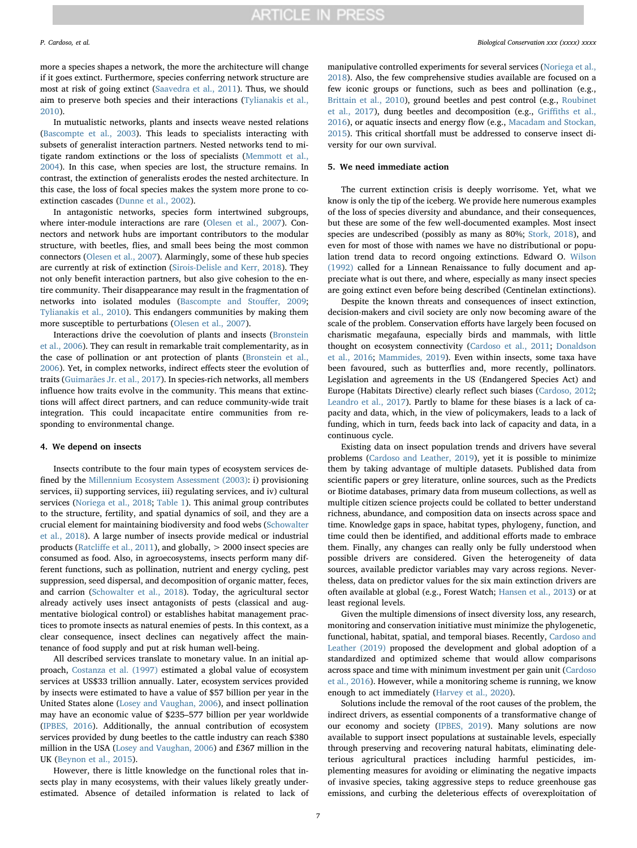more a species shapes a network, the more the architecture will change if it goes extinct. Furthermore, species conferring network structure are most at risk of going extinct [\(Saavedra et al., 2011\)](#page-10-53). Thus, we should aim to preserve both species and their interactions ([Tylianakis et al.,](#page-10-51) [2010\)](#page-10-51).

In mutualistic networks, plants and insects weave nested relations ([Bascompte et al., 2003](#page-7-24)). This leads to specialists interacting with subsets of generalist interaction partners. Nested networks tend to mitigate random extinctions or the loss of specialists ([Memmott et al.,](#page-9-48) [2004\)](#page-9-48). In this case, when species are lost, the structure remains. In contrast, the extinction of generalists erodes the nested architecture. In this case, the loss of focal species makes the system more prone to coextinction cascades ([Dunne et al., 2002\)](#page-8-51).

In antagonistic networks, species form intertwined subgroups, where inter-module interactions are rare [\(Olesen et al., 2007](#page-9-49)). Connectors and network hubs are important contributors to the modular structure, with beetles, flies, and small bees being the most common connectors ([Olesen et al., 2007\)](#page-9-49). Alarmingly, some of these hub species are currently at risk of extinction [\(Sirois-Delisle and Kerr, 2018](#page-10-54)). They not only benefit interaction partners, but also give cohesion to the entire community. Their disappearance may result in the fragmentation of networks into isolated modules ([Bascompte and Stou](#page-7-23)ffer, 2009; [Tylianakis et al., 2010\)](#page-10-51). This endangers communities by making them more susceptible to perturbations ([Olesen et al., 2007\)](#page-9-49).

Interactions drive the coevolution of plants and insects [\(Bronstein](#page-7-25) [et al., 2006](#page-7-25)). They can result in remarkable trait complementarity, as in the case of pollination or ant protection of plants ([Bronstein et al.,](#page-7-25) [2006\)](#page-7-25). Yet, in complex networks, indirect effects steer the evolution of traits ([Guimarães Jr. et al., 2017](#page-8-50)). In species-rich networks, all members influence how traits evolve in the community. This means that extinctions will affect direct partners, and can reduce community-wide trait integration. This could incapacitate entire communities from responding to environmental change.

#### 4. We depend on insects

Insects contribute to the four main types of ecosystem services defined by the [Millennium Ecosystem Assessment \(2003\):](#page-9-50) i) provisioning services, ii) supporting services, iii) regulating services, and iv) cultural services ([Noriega et al., 2018](#page-9-51); [Table 1\)](#page-5-0). This animal group contributes to the structure, fertility, and spatial dynamics of soil, and they are a crucial element for maintaining biodiversity and food webs ([Schowalter](#page-10-55) [et al., 2018](#page-10-55)). A large number of insects provide medical or industrial products (Ratcliff[e et al., 2011](#page-9-52)), and globally, > 2000 insect species are consumed as food. Also, in agroecosystems, insects perform many different functions, such as pollination, nutrient and energy cycling, pest suppression, seed dispersal, and decomposition of organic matter, feces, and carrion [\(Schowalter et al., 2018\)](#page-10-55). Today, the agricultural sector already actively uses insect antagonists of pests (classical and augmentative biological control) or establishes habitat management practices to promote insects as natural enemies of pests. In this context, as a clear consequence, insect declines can negatively affect the maintenance of food supply and put at risk human well-being.

All described services translate to monetary value. In an initial approach, [Costanza et al. \(1997\)](#page-8-52) estimated a global value of ecosystem services at US\$33 trillion annually. Later, ecosystem services provided by insects were estimated to have a value of \$57 billion per year in the United States alone ([Losey and Vaughan, 2006\)](#page-9-36), and insect pollination may have an economic value of \$235–577 billion per year worldwide ([IPBES, 2016\)](#page-8-53). Additionally, the annual contribution of ecosystem services provided by dung beetles to the cattle industry can reach \$380 million in the USA [\(Losey and Vaughan, 2006\)](#page-9-36) and £367 million in the UK [\(Beynon et al., 2015\)](#page-7-26).

However, there is little knowledge on the functional roles that insects play in many ecosystems, with their values likely greatly underestimated. Absence of detailed information is related to lack of

manipulative controlled experiments for several services ([Noriega et al.,](#page-9-51) [2018\)](#page-9-51). Also, the few comprehensive studies available are focused on a few iconic groups or functions, such as bees and pollination (e.g., [Brittain et al., 2010](#page-7-27)), ground beetles and pest control (e.g., [Roubinet](#page-9-53) [et al., 2017\)](#page-9-53), dung beetles and decomposition (e.g., Griffi[ths et al.,](#page-8-54) [2016\)](#page-8-54), or aquatic insects and energy flow (e.g., [Macadam and Stockan,](#page-9-54) [2015\)](#page-9-54). This critical shortfall must be addressed to conserve insect diversity for our own survival.

## 5. We need immediate action

The current extinction crisis is deeply worrisome. Yet, what we know is only the tip of the iceberg. We provide here numerous examples of the loss of species diversity and abundance, and their consequences, but these are some of the few well-documented examples. Most insect species are undescribed (possibly as many as 80%; [Stork, 2018](#page-10-1)), and even for most of those with names we have no distributional or population trend data to record ongoing extinctions. Edward O. [Wilson](#page-10-56) [\(1992\)](#page-10-56) called for a Linnean Renaissance to fully document and appreciate what is out there, and where, especially as many insect species are going extinct even before being described (Centinelan extinctions).

Despite the known threats and consequences of insect extinction, decision-makers and civil society are only now becoming aware of the scale of the problem. Conservation efforts have largely been focused on charismatic megafauna, especially birds and mammals, with little thought on ecosystem connectivity ([Cardoso et al., 2011](#page-7-12); [Donaldson](#page-8-55) [et al., 2016;](#page-8-55) [Mammides, 2019](#page-9-55)). Even within insects, some taxa have been favoured, such as butterflies and, more recently, pollinators. Legislation and agreements in the US (Endangered Species Act) and Europe (Habitats Directive) clearly reflect such biases [\(Cardoso, 2012](#page-7-28); [Leandro et al., 2017\)](#page-9-56). Partly to blame for these biases is a lack of capacity and data, which, in the view of policymakers, leads to a lack of funding, which in turn, feeds back into lack of capacity and data, in a continuous cycle.

Existing data on insect population trends and drivers have several problems [\(Cardoso and Leather, 2019](#page-7-29)), yet it is possible to minimize them by taking advantage of multiple datasets. Published data from scientific papers or grey literature, online sources, such as the Predicts or Biotime databases, primary data from museum collections, as well as multiple citizen science projects could be collated to better understand richness, abundance, and composition data on insects across space and time. Knowledge gaps in space, habitat types, phylogeny, function, and time could then be identified, and additional efforts made to embrace them. Finally, any changes can really only be fully understood when possible drivers are considered. Given the heterogeneity of data sources, available predictor variables may vary across regions. Nevertheless, data on predictor values for the six main extinction drivers are often available at global (e.g., Forest Watch; [Hansen et al., 2013](#page-8-56)) or at least regional levels.

Given the multiple dimensions of insect diversity loss, any research, monitoring and conservation initiative must minimize the phylogenetic, functional, habitat, spatial, and temporal biases. Recently, [Cardoso and](#page-7-29) [Leather \(2019\)](#page-7-29) proposed the development and global adoption of a standardized and optimized scheme that would allow comparisons across space and time with minimum investment per gain unit [\(Cardoso](#page-7-30) [et al., 2016](#page-7-30)). However, while a monitoring scheme is running, we know enough to act immediately ([Harvey et al., 2020\)](#page-8-57).

Solutions include the removal of the root causes of the problem, the indirect drivers, as essential components of a transformative change of our economy and society ([IPBES, 2019\)](#page-8-2). Many solutions are now available to support insect populations at sustainable levels, especially through preserving and recovering natural habitats, eliminating deleterious agricultural practices including harmful pesticides, implementing measures for avoiding or eliminating the negative impacts of invasive species, taking aggressive steps to reduce greenhouse gas emissions, and curbing the deleterious effects of overexploitation of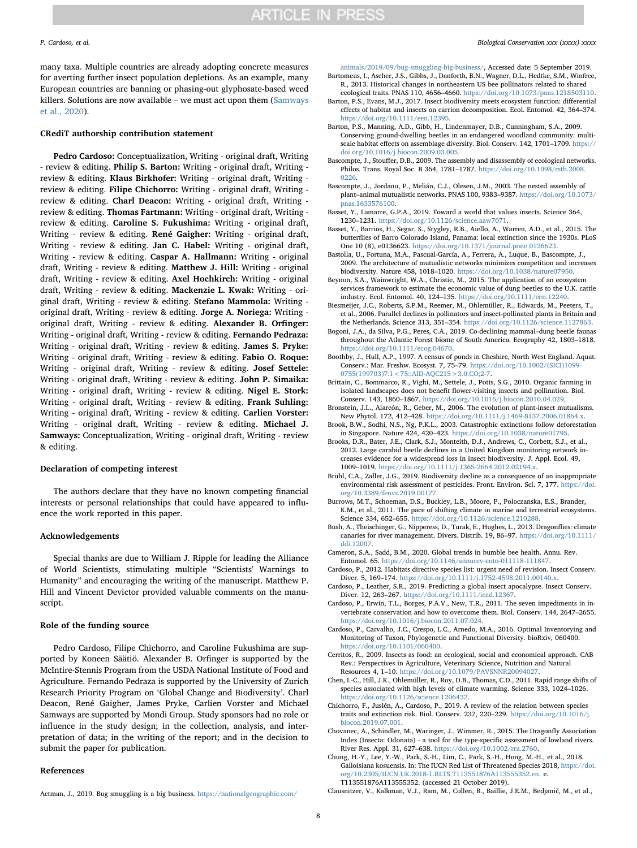many taxa. Multiple countries are already adopting concrete measures for averting further insect population depletions. As an example, many European countries are banning or phasing-out glyphosate-based weed killers. Solutions are now available – we must act upon them [\(Samways](#page-10-57) [et al., 2020](#page-10-57)).

#### CRediT authorship contribution statement

Pedro Cardoso: Conceptualization, Writing - original draft, Writing - review & editing. Philip S. Barton: Writing - original draft, Writing review & editing. Klaus Birkhofer: Writing - original draft, Writing review & editing. Filipe Chichorro: Writing - original draft, Writing review & editing. Charl Deacon: Writing - original draft, Writing review & editing. Thomas Fartmann: Writing - original draft, Writing review & editing. Caroline S. Fukushima: Writing - original draft, Writing - review & editing. René Gaigher: Writing - original draft, Writing - review & editing. Jan C. Habel: Writing - original draft, Writing - review & editing. Caspar A. Hallmann: Writing - original draft, Writing - review & editing. Matthew J. Hill: Writing - original draft, Writing - review & editing. Axel Hochkirch: Writing - original draft, Writing - review & editing. Mackenzie L. Kwak: Writing - original draft, Writing - review & editing. Stefano Mammola: Writing original draft, Writing - review & editing. Jorge A. Noriega: Writing original draft, Writing - review & editing. Alexander B. Orfinger: Writing - original draft, Writing - review & editing. Fernando Pedraza: Writing - original draft, Writing - review & editing. James S. Pryke: Writing - original draft, Writing - review & editing. Fabio O. Roque: Writing - original draft, Writing - review & editing. Josef Settele: Writing - original draft, Writing - review & editing. John P. Simaika: Writing - original draft, Writing - review & editing. Nigel E. Stork: Writing - original draft, Writing - review & editing. Frank Suhling: Writing - original draft, Writing - review & editing. Carlien Vorster: Writing - original draft, Writing - review & editing. Michael J. Samways: Conceptualization, Writing - original draft, Writing - review & editing.

### Declaration of competing interest

The authors declare that they have no known competing financial interests or personal relationships that could have appeared to influence the work reported in this paper.

#### Acknowledgements

Special thanks are due to William J. Ripple for leading the Alliance of World Scientists, stimulating multiple "Scientists' Warnings to Humanity" and encouraging the writing of the manuscript. Matthew P. Hill and Vincent Devictor provided valuable comments on the manuscript.

### Role of the funding source

Pedro Cardoso, Filipe Chichorro, and Caroline Fukushima are supported by Koneen Säätiö. Alexander B. Orfinger is supported by the McIntire-Stennis Program from the USDA National Institute of Food and Agriculture. Fernando Pedraza is supported by the University of Zurich Research Priority Program on 'Global Change and Biodiversity'. Charl Deacon, René Gaigher, James Pryke, Carlien Vorster and Michael Samways are supported by Mondi Group. Study sponsors had no role or influence in the study design; in the collection, analysis, and interpretation of data; in the writing of the report; and in the decision to submit the paper for publication.

#### References

<span id="page-7-9"></span>Actman, J., 2019. Bug smuggling is a big business. [https://nationalgeographic.com/](https://nationalgeographic.com/animals/2019/09/bug-smuggling-big-business/)

<span id="page-7-20"></span>[animals/2019/09/bug-smuggling-big-business/](https://nationalgeographic.com/animals/2019/09/bug-smuggling-big-business/), Accessed date: 5 September 2019. Bartomeus, I., Ascher, J.S., Gibbs, J., Danforth, B.N., Wagner, D.L., Hedtke, S.M., Winfree, R., 2013. Historical changes in northeastern US bee pollinators related to shared

- <span id="page-7-18"></span>ecological traits. PNAS 110, 4656–4660. [https://doi.org/10.1073/pnas.1218503110.](https://doi.org/10.1073/pnas.1218503110) Barton, P.S., Evans, M.J., 2017. Insect biodiversity meets ecosystem function: differential effects of habitat and insects on carrion decomposition. Ecol. Entomol. 42, 364–374. [https://doi.org/10.1111/een.12395.](https://doi.org/10.1111/een.12395)
- <span id="page-7-16"></span>Barton, P.S., Manning, A.D., Gibb, H., Lindenmayer, D.B., Cunningham, S.A., 2009. Conserving ground-dwelling beetles in an endangered woodland community: multiscale habitat effects on assemblage diversity. Biol. Conserv. 142, 1701–1709. [https://](https://doi.org/10.1016/j.biocon.2009.03.005) [doi.org/10.1016/j.biocon.2009.03.005.](https://doi.org/10.1016/j.biocon.2009.03.005)
- <span id="page-7-23"></span>Bascompte, J., Stouffer, D.B., 2009. The assembly and disassembly of ecological networks. Philos. Trans. Royal Soc. B 364, 1781–1787. [https://doi.org/10.1098/rstb.2008.](https://doi.org/10.1098/rstb.2008.0226) [0226.](https://doi.org/10.1098/rstb.2008.0226)
- <span id="page-7-24"></span>Bascompte, J., Jordano, P., Melián, C.J., Olesen, J.M., 2003. The nested assembly of plant–animal mutualistic networks. PNAS 100, 9383–9387. [https://doi.org/10.1073/](https://doi.org/10.1073/pnas.1633576100) [pnas.1633576100](https://doi.org/10.1073/pnas.1633576100).
- <span id="page-7-1"></span>Basset, Y., Lamarre, G.P.A., 2019. Toward a world that values insects. Science 364, 1230–1231. <https://doi.org/10.1126/science.aaw7071>.
- <span id="page-7-21"></span>Basset, Y., Barrios, H., Segar, S., Srygley, R.B., Aiello, A., Warren, A.D., et al., 2015. The butterflies of Barro Colorado Island, Panama: local extinction since the 1930s. PLoS One 10 (8), e0136623. <https://doi.org/10.1371/journal.pone.0136623>.
- <span id="page-7-22"></span>Bastolla, U., Fortuna, M.A., Pascual-García, A., Ferrera, A., Luque, B., Bascompte, J., 2009. The architecture of mutualistic networks minimizes competition and increases biodiversity. Nature 458, 1018–1020. [https://doi.org/10.1038/nature07950.](https://doi.org/10.1038/nature07950)
- <span id="page-7-26"></span>Beynon, S.A., Wainwright, W.A., Christie, M., 2015. The application of an ecosystem services framework to estimate the economic value of dung beetles to the U.K. cattle industry. Ecol. Entomol. 40, 124–135. [https://doi.org/10.1111/een.12240.](https://doi.org/10.1111/een.12240)
- <span id="page-7-15"></span>Biesmeijer, J.C., Roberts, S.P.M., Reemer, M., Ohlemüller, R., Edwards, M., Peeters, T., et al., 2006. Parallel declines in pollinators and insect-pollinated plants in Britain and the Netherlands. Science 313, 351–354. <https://doi.org/10.1126/science.1127863>.
- <span id="page-7-11"></span>Bogoni, J.A., da Silva, P.G., Peres, C.A., 2019. Co-declining mammal–dung beetle faunas throughout the Atlantic Forest biome of South America. Ecography 42, 1803–1818. [https://doi.org/10.1111/ecog.04670.](https://doi.org/10.1111/ecog.04670)
- <span id="page-7-2"></span>Boothby, J., Hull, A.P., 1997. A census of ponds in Cheshire, North West England. Aquat. Conserv.: Mar. Freshw. Ecosyst. 7, 75–79. [https://doi.org/10.1002/\(SICI\)1099-](https://doi.org/10.1002/(SICI)1099-0755(199703)7:1<75::AID-AQC215>3.0.CO;2-7) [0755\(199703\)7:1<75::AID-AQC215>3.0.CO;2-7.](https://doi.org/10.1002/(SICI)1099-0755(199703)7:1<75::AID-AQC215>3.0.CO;2-7)
- <span id="page-7-27"></span>Brittain, C., Bommarco, R., Vighi, M., Settele, J., Potts, S.G., 2010. Organic farming in isolated landscapes does not benefit flower-visiting insects and pollination. Biol. Conserv. 143, 1860–1867. [https://doi.org/10.1016/j.biocon.2010.04.029.](https://doi.org/10.1016/j.biocon.2010.04.029)
- <span id="page-7-25"></span>Bronstein, J.L., Alarcón, R., Geber, M., 2006. The evolution of plant-insect mutualisms. New Phytol. 172, 412–428. [https://doi.org/10.1111/j.1469-8137.2006.01864.x.](https://doi.org/10.1111/j.1469-8137.2006.01864.x)
- <span id="page-7-0"></span>Brook, B.W., Sodhi, N.S., Ng, P.K.L., 2003. Catastrophic extinctions follow deforestation in Singapore. Nature 424, 420–423. [https://doi.org/10.1038/nature01795.](https://doi.org/10.1038/nature01795)
- <span id="page-7-14"></span>Brooks, D.R., Bater, J.E., Clark, S.J., Monteith, D.J., Andrews, C., Corbett, S.J., et al., 2012. Large carabid beetle declines in a United Kingdom monitoring network increases evidence for a widespread loss in insect biodiversity. J. Appl. Ecol. 49, 1009–1019. <https://doi.org/10.1111/j.1365-2664.2012.02194.x>.
- <span id="page-7-3"></span>Brühl, C.A., Zaller, J.G., 2019. Biodiversity decline as a consequence of an inappropriate environmental risk assessment of pesticides. Front. Environ. Sci. 7, 177. [https://doi.](https://doi.org/10.3389/fenvs.2019.00177) [org/10.3389/fenvs.2019.00177](https://doi.org/10.3389/fenvs.2019.00177).
- <span id="page-7-5"></span>Burrows, M.T., Schoeman, D.S., Buckley, L.B., Moore, P., Poloczanska, E.S., Brander, K.M., et al., 2011. The pace of shifting climate in marine and terrestrial ecosystems. Science 334, 652–655. <https://doi.org/10.1126/science.1210288>.
- <span id="page-7-7"></span>Bush, A., Theischinger, G., Nipperess, D., Turak, E., Hughes, L., 2013. Dragonflies: climate canaries for river management. Divers. Distrib. 19, 86–97. [https://doi.org/10.1111/](https://doi.org/10.1111/ddi.12007) [ddi.12007](https://doi.org/10.1111/ddi.12007).
- <span id="page-7-4"></span>Cameron, S.A., Sadd, B.M., 2020. Global trends in bumble bee health. Annu. Rev. Entomol. 65. [https://doi.org/10.1146/annurev-ento-011118-111847.](https://doi.org/10.1146/annurev-ento-011118-111847)
- <span id="page-7-28"></span>Cardoso, P., 2012. Habitats directive species list: urgent need of revision. Insect Conserv. Diver. 5, 169–174. <https://doi.org/10.1111/j.1752-4598.2011.00140.x>.
- <span id="page-7-29"></span>Cardoso, P., Leather, S.R., 2019. Predicting a global insect apocalypse. Insect Conserv. Diver. 12, 263–267. [https://doi.org/10.1111/icad.12367.](https://doi.org/10.1111/icad.12367)
- <span id="page-7-12"></span>Cardoso, P., Erwin, T.L., Borges, P.A.V., New, T.R., 2011. The seven impediments in invertebrate conservation and how to overcome them. Biol. Conserv. 144, 2647–2655. [https://doi.org/10.1016/j.biocon.2011.07.024.](https://doi.org/10.1016/j.biocon.2011.07.024)
- <span id="page-7-30"></span>Cardoso, P., Carvalho, J.C., Crespo, L.C., Arnedo, M.A., 2016. Optimal Inventorying and Monitoring of Taxon, Phylogenetic and Functional Diversity. bioRxiv, 060400. [https://doi.org/10.1101/060400.](https://doi.org/10.1101/060400)
- <span id="page-7-10"></span>Cerritos, R., 2009. Insects as food: an ecological, social and economical approach. CAB Rev.: Perspectives in Agriculture, Veterinary Science, Nutrition and Natural Resources 4, 1–10. <https://doi.org/10.1079/PAVSNNR20094027>.
- <span id="page-7-6"></span>Chen, I.-C., Hill, J.K., Ohlemüller, R., Roy, D.B., Thomas, C.D., 2011. Rapid range shifts of species associated with high levels of climate warming. Science 333, 1024–1026. [https://doi.org/10.1126/science.1206432.](https://doi.org/10.1126/science.1206432)
- <span id="page-7-19"></span>Chichorro, F., Juslén, A., Cardoso, P., 2019. A review of the relation between species traits and extinction risk. Biol. Conserv. 237, 220–229. [https://doi.org/10.1016/j.](https://doi.org/10.1016/j.biocon.2019.07.001) [biocon.2019.07.001](https://doi.org/10.1016/j.biocon.2019.07.001).
- <span id="page-7-8"></span>Chovanec, A., Schindler, M., Waringer, J., Wimmer, R., 2015. The Dragonfly Association Index (Insecta: Odonata) - a tool for the type-specific assessment of lowland rivers. River Res. Appl. 31, 627–638. [https://doi.org/10.1002/rra.2760.](https://doi.org/10.1002/rra.2760)
- <span id="page-7-17"></span>Chung, H.-Y., Lee, Y.-W., Park, S.-H., Lim, C., Park, S.-H., Hong, M.-H., et al., 2018. Galloisiana kosuensis. In: The IUCN Red List of Threatened Species 2018, [https://doi.](https://doi.org/10.2305/IUCN.UK.2018-1.RLTS.T113551876A113555352.en) [org/10.2305/IUCN.UK.2018-1.RLTS.T113551876A113555352.en.](https://doi.org/10.2305/IUCN.UK.2018-1.RLTS.T113551876A113555352.en) e. [T113551876A113555352. \(accessed 21 October 2019\)](https://doi.org/10.2305/IUCN.UK.2018-1.RLTS.T113551876A113555352.en).
- <span id="page-7-13"></span>Clausnitzer, V., Kalkman, V.J., Ram, M., Collen, B., Baillie, J.E.M., Bedjanič, M., et al.,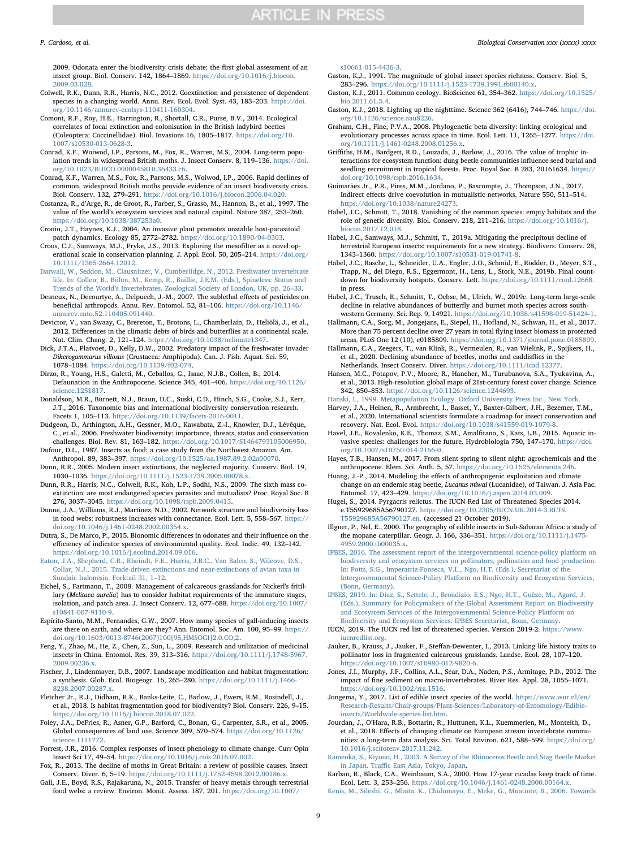#### P. Cardoso, et al. *Biological Conservation xxx (xxxx) xxxx*

2009. Odonata enter the biodiversity crisis debate: the first global assessment of an insect group. Biol. Conserv. 142, 1864–1869. [https://doi.org/10.1016/j.biocon.](https://doi.org/10.1016/j.biocon.2009.03.028) [2009.03.028](https://doi.org/10.1016/j.biocon.2009.03.028).

- <span id="page-8-39"></span>Colwell, R.K., Dunn, R.R., Harris, N.C., 2012. Coextinction and persistence of dependent species in a changing world. Annu. Rev. Ecol. Evol. Syst. 43, 183–203. [https://doi.](https://doi.org/10.1146/annurev-ecolsys-110411-160304) [org/10.1146/annurev-ecolsys-110411-160304.](https://doi.org/10.1146/annurev-ecolsys-110411-160304)
- <span id="page-8-22"></span>Comont, R.F., Roy, H.E., Harrington, R., Shortall, C.R., Purse, B.V., 2014. Ecological correlates of local extinction and colonisation in the British ladybird beetles (Coleoptera: Coccinellidae). Biol. Invasions 16, 1805–1817. [https://doi.org/10.](https://doi.org/10.1007/s10530-013-0628-3) [1007/s10530-013-0628-3](https://doi.org/10.1007/s10530-013-0628-3).
- <span id="page-8-41"></span>Conrad, K.F., Woiwod, I.P., Parsons, M., Fox, R., Warren, M.S., 2004. Long-term population trends in widespread British moths. J. Insect Conserv. 8, 119–136. [https://doi.](https://doi.org/10.1023/B:JICO.0000045810.36433.c6) [org/10.1023/B:JICO.0000045810.36433.c6.](https://doi.org/10.1023/B:JICO.0000045810.36433.c6)
- Conrad, K.F., Warren, M.S., Fox, R., Parsons, M.S., Woiwod, I.P., 2006. Rapid declines of common, widespread British moths provide evidence of an insect biodiversity crisis. Biol. Conserv. 132, 279–291. [https://doi.org/10.1016/j.biocon.2006.04.020.](https://doi.org/10.1016/j.biocon.2006.04.020)
- <span id="page-8-52"></span>Costanza, R., d'Arge, R., de Groot, R., Farber, S., Grasso, M., Hannon, B., et al., 1997. The value of the world's ecosystem services and natural capital. Nature 387, 253–260. [https://doi.org/10.1038/387253a0.](https://doi.org/10.1038/387253a0)
- <span id="page-8-24"></span>Cronin, J.T., Haynes, K.J., 2004. An invasive plant promotes unstable host-parasitoid patch dynamics. Ecology 85, 2772–2782. [https://doi.org/10.1890/04-0303.](https://doi.org/10.1890/04-0303)
- <span id="page-8-45"></span>Crous, C.J., Samways, M.J., Pryke, J.S., 2013. Exploring the mesofilter as a novel operational scale in conservation planning. J. Appl. Ecol. 50, 205–214. [https://doi.org/](https://doi.org/10.1111/1365-2664.12012) [10.1111/1365-2664.12012](https://doi.org/10.1111/1365-2664.12012).
- <span id="page-8-19"></span>[Darwall, W., Seddon, M., Clausnitzer, V., Cumberlidge, N., 2012. Freshwater invertebrate](http://refhub.elsevier.com/S0006-3207(19)31782-3/rf0195) [life. In: Collen, B., Böhm, M., Kemp, R., Baillie, J.E.M. \(Eds.\), Spineless: Status and](http://refhub.elsevier.com/S0006-3207(19)31782-3/rf0195) Trends of the World'[s Invertebrates. Zoological Society of London, UK, pp. 26](http://refhub.elsevier.com/S0006-3207(19)31782-3/rf0195)–33.
- <span id="page-8-16"></span>Desneux, N., Decourtye, A., Delpuech, J.-M., 2007. The sublethal effects of pesticides on beneficial arthropods. Annu. Rev. Entomol. 52, 81–106. [https://doi.org/10.1146/](https://doi.org/10.1146/annurev.ento.52.110405.091440) [annurev.ento.52.110405.091440](https://doi.org/10.1146/annurev.ento.52.110405.091440).
- <span id="page-8-14"></span>Devictor, V., van Swaay, C., Brereton, T., Brotons, L., Chamberlain, D., Heliölä, J., et al., 2012. Differences in the climatic debts of birds and butterflies at a continental scale. Nat. Clim. Chang. 2, 121–124. <https://doi.org/10.1038/nclimate1347>.
- <span id="page-8-23"></span>Dick, J.T.A., Platvoet, D., Kelly, D.W., 2002. Predatory impact of the freshwater invader Dikerogammarus villosus (Crustacea: Amphipoda). Can. J. Fish. Aquat. Sci. 59, 1078–1084. <https://doi.org/10.1139/f02-074>.
- <span id="page-8-4"></span>Dirzo, R., Young, H.S., Galetti, M., Ceballos, G., Isaac, N.J.B., Collen, B., 2014. Defaunation in the Anthropocene. Science 345, 401–406. [https://doi.org/10.1126/](https://doi.org/10.1126/science.1251817) [science.1251817.](https://doi.org/10.1126/science.1251817)
- <span id="page-8-55"></span>Donaldson, M.R., Burnett, N.J., Braun, D.C., Suski, C.D., Hinch, S.G., Cooke, S.J., Kerr, J.T., 2016. Taxonomic bias and international biodiversity conservation research. Facets 1, 105–113. <https://doi.org/10.1139/facets-2016-0011>.
- <span id="page-8-8"></span>Dudgeon, D., Arthington, A.H., Gessner, M.O., Kawabata, Z.-I., Knowler, D.J., Lévêque, C., et al., 2006. Freshwater biodiversity: importance, threats, status and conservation challenges. Biol. Rev. 81, 163–182. [https://doi.org/10.1017/S1464793105006950.](https://doi.org/10.1017/S1464793105006950)
- <span id="page-8-33"></span>Dufour, D.L., 1987. Insects as food: a case study from the Northwest Amazon. Am. Anthropol. 89, 383–397. [https://doi.org/10.1525/aa.1987.89.2.02a00070.](https://doi.org/10.1525/aa.1987.89.2.02a00070)
- <span id="page-8-35"></span>Dunn, R.R., 2005. Modern insect extinctions, the neglected majority. Conserv. Biol. 19, 1030–1036. <https://doi.org/10.1111/j.1523-1739.2005.00078.x>.
- <span id="page-8-36"></span>Dunn, R.R., Harris, N.C., Colwell, R.K., Koh, L.P., Sodhi, N.S., 2009. The sixth mass coextinction: are most endangered species parasites and mutualists? Proc. Royal Soc. B 276, 3037–3045. <https://doi.org/10.1098/rspb.2009.0413>.
- <span id="page-8-51"></span>Dunne, J.A., Williams, R.J., Martinez, N.D., 2002. Network structure and biodiversity loss in food webs: robustness increases with connectance. Ecol. Lett. 5, 558–567. [https://](https://doi.org/10.1046/j.1461-0248.2002.00354.x) [doi.org/10.1046/j.1461-0248.2002.00354.x.](https://doi.org/10.1046/j.1461-0248.2002.00354.x)
- <span id="page-8-27"></span>Dutra, S., De Marco, P., 2015. Bionomic differences in odonates and their influence on the efficiency of indicator species of environmental quality. Ecol. Indic. 49, 132–142. <https://doi.org/10.1016/j.ecolind.2014.09.016>.
- <span id="page-8-40"></span>[Eaton, J.A., Shepherd, C.R., Rheindt, F.E., Harris, J.B.C., Van Balen, S., Wilcove, D.S.,](http://refhub.elsevier.com/S0006-3207(19)31782-3/rf0255) [Collar, N.J., 2015. Trade-driven extinctions and near-extinctions of avian taxa in](http://refhub.elsevier.com/S0006-3207(19)31782-3/rf0255) [Sundaic Indonesia. Forktail 31, 1](http://refhub.elsevier.com/S0006-3207(19)31782-3/rf0255)–12.
- <span id="page-8-13"></span>Eichel, S., Fartmann, T., 2008. Management of calcareous grasslands for Nickerl's fritillary (Melitaea aurelia) has to consider habitat requirements of the immature stages, isolation, and patch area. J. Insect Conserv. 12, 677–688. [https://doi.org/10.1007/](https://doi.org/10.1007/s10841-007-9110-9) [s10841-007-9110-9.](https://doi.org/10.1007/s10841-007-9110-9)
- <span id="page-8-38"></span>Espírito-Santo, M.M., Fernandes, G.W., 2007. How many species of gall-inducing insects are there on earth, and where are they? Ann. Entomol. Soc. Am. 100, 95–99. [https://](https://doi.org/10.1603/0013-8746(2007)100[95,HMSOGI]2.0.CO;2) [doi.org/10.1603/0013-8746\(2007\)100\[95,HMSOGI\]2.0.CO;2.](https://doi.org/10.1603/0013-8746(2007)100[95,HMSOGI]2.0.CO;2)
- <span id="page-8-34"></span>Feng, Y., Zhao, M., He, Z., Chen, Z., Sun, L., 2009. Research and utilization of medicinal insects in China. Entomol. Res. 39, 313–316. [https://doi.org/10.1111/j.1748-5967.](https://doi.org/10.1111/j.1748-5967.2009.00236.x) [2009.00236.x.](https://doi.org/10.1111/j.1748-5967.2009.00236.x)
- <span id="page-8-10"></span>Fischer, J., Lindenmayer, D.B., 2007. Landscape modification and habitat fragmentation: a synthesis. Glob. Ecol. Biogeogr. 16, 265–280. [https://doi.org/10.1111/j.1466-](https://doi.org/10.1111/j.1466-8238.2007.00287.x) [8238.2007.00287.x.](https://doi.org/10.1111/j.1466-8238.2007.00287.x)
- <span id="page-8-11"></span>Fletcher Jr., R.J., Didham, R.K., Banks-Leite, C., Barlow, J., Ewers, R.M., Rosindell, J., et al., 2018. Is habitat fragmentation good for biodiversity? Biol. Conserv. 226, 9–15. [https://doi.org/10.1016/j.biocon.2018.07.022.](https://doi.org/10.1016/j.biocon.2018.07.022)
- <span id="page-8-3"></span>Foley, J.A., DeFries, R., Asner, G.P., Barford, C., Bonan, G., Carpenter, S.R., et al., 2005. Global consequences of land use. Science 309, 570–574. [https://doi.org/10.1126/](https://doi.org/10.1126/science.1111772) [science.1111772.](https://doi.org/10.1126/science.1111772)
- <span id="page-8-25"></span>Forrest, J.R., 2016. Complex responses of insect phenology to climate change. Curr Opin Insect Sci 17, 49–54. <https://doi.org/10.1016/j.cois.2016.07.002>.
- <span id="page-8-17"></span>Fox, R., 2013. The decline of moths in Great Britain: a review of possible causes. Insect Conserv. Diver. 6, 5–19. [https://doi.org/10.1111/j.1752-4598.2012.00186.x.](https://doi.org/10.1111/j.1752-4598.2012.00186.x)
- <span id="page-8-18"></span>Gall, J.E., Boyd, R.S., Rajakaruna, N., 2015. Transfer of heavy metals through terrestrial food webs: a review. Environ. Monit. Assess. 187, 201. [https://doi.org/10.1007/](https://doi.org/10.1007/s10661-015-4436-3)

[s10661-015-4436-3.](https://doi.org/10.1007/s10661-015-4436-3)

- <span id="page-8-37"></span>Gaston, K.J., 1991. The magnitude of global insect species richness. Conserv. Biol. 5, 283–296. [https://doi.org/10.1111/j.1523-1739.1991.tb00140.x.](https://doi.org/10.1111/j.1523-1739.1991.tb00140.x)
- <span id="page-8-44"></span>Gaston, K.J., 2011. Common ecology. BioScience 61, 354–362. [https://doi.org/10.1525/](https://doi.org/10.1525/bio.2011.61.5.4) [bio.2011.61.5.4](https://doi.org/10.1525/bio.2011.61.5.4).
- <span id="page-8-20"></span>Gaston, K.J., 2018. Lighting up the nighttime. Science 362 (6416), 744–746. [https://doi.](https://doi.org/10.1126/science.aau8226) [org/10.1126/science.aau8226.](https://doi.org/10.1126/science.aau8226)
- <span id="page-8-47"></span>Graham, C.H., Fine, P.V.A., 2008. Phylogenetic beta diversity: linking ecological and evolutionary processes across space in time. Ecol. Lett. 11, 1265–1277. [https://doi.](https://doi.org/10.1111/j.1461-0248.2008.01256.x) [org/10.1111/j.1461-0248.2008.01256.x.](https://doi.org/10.1111/j.1461-0248.2008.01256.x)
- <span id="page-8-54"></span>Griffiths, H.M., Bardgett, R.D., Louzada, J., Barlow, J., 2016. The value of trophic interactions for ecosystem function: dung beetle communities influence seed burial and seedling recruitment in tropical forests. Proc. Royal Soc. B 283, 20161634. [https://](https://doi.org/10.1098/rspb.2016.1634) [doi.org/10.1098/rspb.2016.1634.](https://doi.org/10.1098/rspb.2016.1634)
- <span id="page-8-50"></span>Guimarães Jr., P.R., Pires, M.M., Jordano, P., Bascompte, J., Thompson, J.N., 2017. Indirect effects drive coevolution in mutualistic networks. Nature 550, 511–514. [https://doi.org/10.1038/nature24273.](https://doi.org/10.1038/nature24273)
- <span id="page-8-42"></span>Habel, J.C., Schmitt, T., 2018. Vanishing of the common species: empty habitats and the role of genetic diversity. Biol. Conserv. 218, 211–216. [https://doi.org/10.1016/j.](https://doi.org/10.1016/j.biocon.2017.12.018) [biocon.2017.12.018](https://doi.org/10.1016/j.biocon.2017.12.018).
- <span id="page-8-5"></span>Habel, J.C., Samways, M.J., Schmitt, T., 2019a. Mitigating the precipitous decline of terrestrial European insects: requirements for a new strategy. Biodivers. Conserv. 28, 1343–1360. <https://doi.org/10.1007/s10531-019-01741-8>.
- <span id="page-8-6"></span>Habel, J.C., Rasche, L., Schneider, U.A., Engler, J.O., Schmid, E., Rödder, D., Meyer, S.T., Trapp, N., del Diego, R.S., Eggermont, H., Lens, L., Stork, N.E., 2019b. Final countdown for biodiversity hotspots. Conserv. Lett. [https://doi.org/10.1111/conl.12668.](https://doi.org/10.1111/conl.12668) [in press](https://doi.org/10.1111/conl.12668).
- <span id="page-8-7"></span>Habel, J.C., Trusch, R., Schmitt, T., Ochse, M., Ulrich, W., 2019c. Long-term large-scale decline in relative abundances of butterfly and burnet moth species across southwestern Germany. Sci. Rep. 9, 14921. [https://doi.org/10.1038/s41598-019-51424-1.](https://doi.org/10.1038/s41598-019-51424-1)
- <span id="page-8-0"></span>Hallmann, C.A., Sorg, M., Jongejans, E., Siepel, H., Hofland, N., Schwan, H., et al., 2017. More than 75 percent decline over 27 years in total flying insect biomass in protected areas. PLoS One 12 (10), e0185809. [https://doi.org/10.1371/journal.pone.0185809.](https://doi.org/10.1371/journal.pone.0185809)
- <span id="page-8-43"></span>Hallmann, C.A., Zeegers, T., van Klink, R., Vermeulen, R., van Wielink, P., Spijkers, H., et al., 2020. Declining abundance of beetles, moths and caddisflies in the Netherlands. Insect Conserv. Diver. <https://doi.org/10.1111/icad.12377>.
- <span id="page-8-56"></span>Hansen, M.C., Potapov, P.V., Moore, R., Hancher, M., Turubanova, S.A., Tyukavina, A., et al., 2013. High-resolution global maps of 21st-century forest cover change. Science 342, 850–853. [https://doi.org/10.1126/science.1244693.](https://doi.org/10.1126/science.1244693)

<span id="page-8-12"></span>[Hanski, I., 1999. Metapopulation Ecology. Oxford University Press Inc., New York.](http://refhub.elsevier.com/S0006-3207(19)31782-3/rf0370)

- <span id="page-8-57"></span>Harvey, J.A., Heinen, R., Armbrecht, I., Basset, Y., Baxter-Gilbert, J.H., Bezemer, T.M., et al., 2020. International scientists formulate a roadmap for insect conservation and recovery. Nat. Ecol. Evol. <https://doi.org/10.1038/s41559-019-1079-8>.
- <span id="page-8-21"></span>Havel, J.E., Kovalenko, K.E., Thomaz, S.M., Amalfitano, S., Kats, L.B., 2015. Aquatic invasive species: challenges for the future. Hydrobiologia 750, 147–170. [https://doi.](https://doi.org/10.1007/s10750-014-2166-0) [org/10.1007/s10750-014-2166-0.](https://doi.org/10.1007/s10750-014-2166-0)
- <span id="page-8-15"></span>Hayes, T.B., Hansen, M., 2017. From silent spring to silent night: agrochemicals and the anthropocene. Elem. Sci. Anth. 5, 57. <https://doi.org/10.1525/elementa.246>.
- <span id="page-8-29"></span>Huang, J.-P., 2014. Modeling the effects of anthropogenic exploitation and climate change on an endemic stag beetle, Lucanus miwai (Lucanidae), of Taiwan. J. Asia Pac. Entomol. 17, 423–429. <https://doi.org/10.1016/j.aspen.2014.03.009>.
- <span id="page-8-48"></span>Hugel, S., 2014. Pyrgacris relictus. The IUCN Red List of Threatened Species 2014. e.T55929685A56790127. [https://doi.org/10.2305/IUCN.UK.2014-3.RLTS.](https://doi.org/10.2305/IUCN.UK.2014-3.RLTS.T55929685A56790127.en) T55929685A56790127.en. [\(accessed 21 October 2019\).](https://doi.org/10.2305/IUCN.UK.2014-3.RLTS.T55929685A56790127.en)
- <span id="page-8-31"></span>Illgner, P., Nel, E., 2000. The geography of edible insects in Sub-Saharan Africa: a study of the mopane caterpillar. Geogr. J. 166, 336–351. [https://doi.org/10.1111/j.1475-](https://doi.org/10.1111/j.1475-4959.2000.tb00035.x) [4959.2000.tb00035.x.](https://doi.org/10.1111/j.1475-4959.2000.tb00035.x)
- <span id="page-8-53"></span>[IPBES, 2016. The assessment report of the intergovernmental science-policy platform on](http://refhub.elsevier.com/S0006-3207(19)31782-3/rf0410) [biodiversity and ecosystem services on pollinators, pollination and food production.](http://refhub.elsevier.com/S0006-3207(19)31782-3/rf0410) [In: Potts, S.G., Imperatriz-Fonseca, V.L., Ngo, H.T. \(Eds.\), Secretariat of the](http://refhub.elsevier.com/S0006-3207(19)31782-3/rf0410) [Intergovernmental Science-Policy Platform on Biodiversity and Ecosystem Services,](http://refhub.elsevier.com/S0006-3207(19)31782-3/rf0410) [\(Bonn, Germany\).](http://refhub.elsevier.com/S0006-3207(19)31782-3/rf0410)
- <span id="page-8-2"></span>[IPBES, 2019. In: Díaz, S., Settele, J., Brondizio, E.S., Ngo, H.T., Guèze, M., Agard, J.](http://refhub.elsevier.com/S0006-3207(19)31782-3/rf0415) [\(Eds.\), Summary for Policymakers of the Global Assessment Report on Biodiversity](http://refhub.elsevier.com/S0006-3207(19)31782-3/rf0415) [and Ecosystem Services of the Intergovernmental Science-Policy Platform on](http://refhub.elsevier.com/S0006-3207(19)31782-3/rf0415) [Biodiversity and Ecosystem Services. IPBES Secretariat, Bonn, Germany](http://refhub.elsevier.com/S0006-3207(19)31782-3/rf0415).
- <span id="page-8-1"></span>IUCN, 2019. The IUCN red list of threatened species. Version 2019-2. [https://www.](https://www.iucnredlist.org) [iucnredlist.org.](https://www.iucnredlist.org)
- <span id="page-8-49"></span>Jauker, B., Krauss, J., Jauker, F., Steffan-Dewenter, I., 2013. Linking life history traits to pollinator loss in fragmented calcareous grasslands. Landsc. Ecol. 28, 107–120. [https://doi.org/10.1007/s10980-012-9820-6.](https://doi.org/10.1007/s10980-012-9820-6)
- <span id="page-8-9"></span>Jones, J.I., Murphy, J.F., Collins, A.L., Sear, D.A., Naden, P.S., Armitage, P.D., 2012. The impact of fine sediment on macro-invertebrates. River Res. Appl. 28, 1055–1071. [https://doi.org/10.1002/rra.1516.](https://doi.org/10.1002/rra.1516)
- <span id="page-8-30"></span>Jongema, Y., 2017. List of edible insect species of the world. [https://www.wur.nl/en/](https://www.wur.nl/en/Research-Results/Chair-groups/Plant-Sciences/Laboratory-of-Entomology/Edible-insects/Worldwide-species-list.htm) [Research-Results/Chair-groups/Plant-Sciences/Laboratory-of-Entomology/Edible](https://www.wur.nl/en/Research-Results/Chair-groups/Plant-Sciences/Laboratory-of-Entomology/Edible-insects/Worldwide-species-list.htm)[insects/Worldwide-species-list.htm](https://www.wur.nl/en/Research-Results/Chair-groups/Plant-Sciences/Laboratory-of-Entomology/Edible-insects/Worldwide-species-list.htm).
- <span id="page-8-26"></span>Jourdan, J., O'Hara, R.B., Bottarin, R., Huttunen, K.L., Kuemmerlen, M., Monteith, D., et al., 2018. Effects of changing climate on European stream invertebrate communities: a long-term data analysis. Sci. Total Environ. 621, 588–599. [https://doi.org/](https://doi.org/10.1016/j.scitotenv.2017.11.242) [10.1016/j.scitotenv.2017.11.242.](https://doi.org/10.1016/j.scitotenv.2017.11.242)
- <span id="page-8-28"></span>Kameoka, [S., Kiyono, H., 2003. A Survey of the Rhinoceros Beetle and Stag Beetle Market](http://refhub.elsevier.com/S0006-3207(19)31782-3/rf0445) in Japan. Traffi[c East Asia, Tokyo, Japan.](http://refhub.elsevier.com/S0006-3207(19)31782-3/rf0445)
- <span id="page-8-46"></span>Karban, R., Black, C.A., Weinbaum, S.A., 2000. How 17-year cicadas keep track of time. Ecol. Lett. 3, 253–256. [https://doi.org/10.1046/j.1461-0248.2000.00164.x.](https://doi.org/10.1046/j.1461-0248.2000.00164.x)
- <span id="page-8-32"></span>[Kenis, M., Sileshi, G., Mbata, K., Chidumayo, E., Meke, G., Muatinte, B., 2006. Towards](http://refhub.elsevier.com/S0006-3207(19)31782-3/rf0455)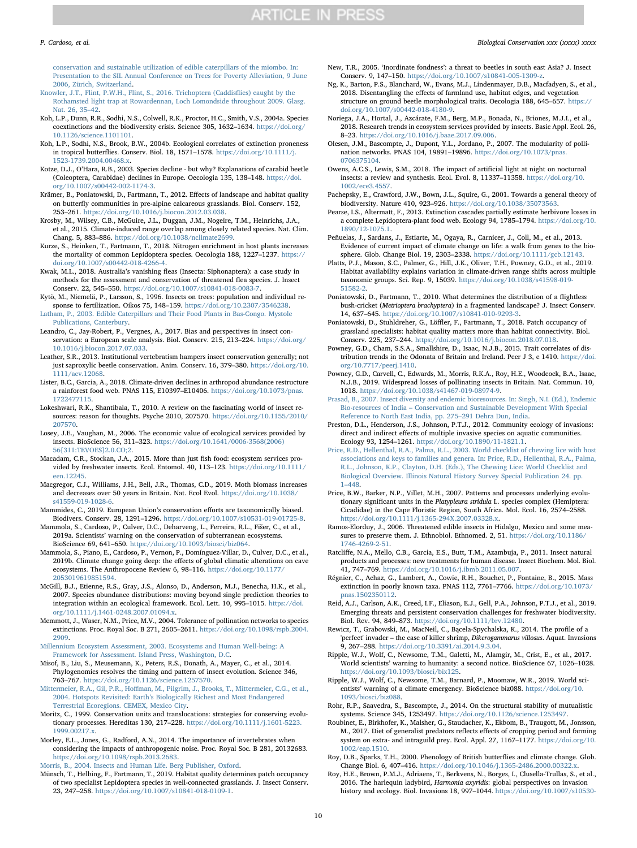[conservation and sustainable utilization of edible caterpillars of the miombo. In:](http://refhub.elsevier.com/S0006-3207(19)31782-3/rf0455) [Presentation to the SIL Annual Conference on Trees for Poverty Alleviation, 9 June](http://refhub.elsevier.com/S0006-3207(19)31782-3/rf0455) [2006, Zürich, Switzerland](http://refhub.elsevier.com/S0006-3207(19)31782-3/rf0455).

- <span id="page-9-34"></span>[Knowler, J.T., Flint, P.W.H., Flint, S., 2016. Trichoptera \(Caddis](http://refhub.elsevier.com/S0006-3207(19)31782-3/rf0460)flies) caught by the [Rothamsted light trap at Rowardennan, Loch Lomondside throughout 2009. Glasg.](http://refhub.elsevier.com/S0006-3207(19)31782-3/rf0460) [Nat. 26, 35](http://refhub.elsevier.com/S0006-3207(19)31782-3/rf0460)–42.
- <span id="page-9-30"></span>Koh, L.P., Dunn, R.R., Sodhi, N.S., Colwell, R.K., Proctor, H.C., Smith, V.S., 2004a. Species coextinctions and the biodiversity crisis. Science 305, 1632–1634. [https://doi.org/](https://doi.org/10.1126/science.1101101) [10.1126/science.1101101](https://doi.org/10.1126/science.1101101).
- <span id="page-9-45"></span>Koh, L.P., Sodhi, N.S., Brook, B.W., 2004b. Ecological correlates of extinction proneness in tropical butterflies. Conserv. Biol. 18, 1571–1578. [https://doi.org/10.1111/j.](https://doi.org/10.1111/j.1523-1739.2004.00468.x) [1523-1739.2004.00468.x](https://doi.org/10.1111/j.1523-1739.2004.00468.x).
- <span id="page-9-44"></span>Kotze, D.J., O'Hara, R.B., 2003. Species decline - but why? Explanations of carabid beetle (Coleoptera, Carabidae) declines in Europe. Oecologia 135, 138–148. [https://doi.](https://doi.org/10.1007/s00442-002-1174-3) [org/10.1007/s00442-002-1174-3.](https://doi.org/10.1007/s00442-002-1174-3)
- <span id="page-9-8"></span>Krämer, B., Poniatowski, D., Fartmann, T., 2012. Effects of landscape and habitat quality on butterfly communities in pre-alpine calcareous grasslands. Biol. Conserv. 152, 253–261. <https://doi.org/10.1016/j.biocon.2012.03.038>.
- <span id="page-9-19"></span>Krosby, M., Wilsey, C.B., McGuire, J.L., Duggan, J.M., Nogeire, T.M., Heinrichs, J.A., et al., 2015. Climate-induced range overlap among closely related species. Nat. Clim. Chang. 5, 883–886. [https://doi.org/10.1038/nclimate2699.](https://doi.org/10.1038/nclimate2699)
- <span id="page-9-12"></span>Kurze, S., Heinken, T., Fartmann, T., 2018. Nitrogen enrichment in host plants increases the mortality of common Lepidoptera species. Oecologia 188, 1227–1237. [https://](https://doi.org/10.1007/s00442-018-4266-4) [doi.org/10.1007/s00442-018-4266-4.](https://doi.org/10.1007/s00442-018-4266-4)
- <span id="page-9-32"></span>Kwak, M.L., 2018. Australia's vanishing fleas (Insecta: Siphonaptera): a case study in methods for the assessment and conservation of threatened flea species. J. Insect Conserv. 22, 545-550. https://doi.org/10.1007/s10841-018-0083-
- <span id="page-9-11"></span>Kytö, M., Niemelä, P., Larsson, S., 1996. Insects on trees: population and individual response to fertilization. Oikos 75, 148–159. [https://doi.org/10.2307/3546238.](https://doi.org/10.2307/3546238)
- <span id="page-9-27"></span>[Latham, P., 2003. Edible Caterpillars and Their Food Plants in Bas-Congo. Mystole](http://refhub.elsevier.com/S0006-3207(19)31782-3/rf0505) [Publications, Canterbury.](http://refhub.elsevier.com/S0006-3207(19)31782-3/rf0505)
- <span id="page-9-56"></span>Leandro, C., Jay-Robert, P., Vergnes, A., 2017. Bias and perspectives in insect conservation: a European scale analysis. Biol. Conserv. 215, 213-224. [https://doi.org/](https://doi.org/10.1016/j.biocon.2017.07.033) [10.1016/j.biocon.2017.07.033](https://doi.org/10.1016/j.biocon.2017.07.033).
- <span id="page-9-33"></span>Leather, S.R., 2013. Institutional vertebratism hampers insect conservation generally; not just saproxylic beetle conservation. Anim. Conserv. 16, 379–380. [https://doi.org/10.](https://doi.org/10.1111/acv.12068) [1111/acv.12068](https://doi.org/10.1111/acv.12068).
- <span id="page-9-0"></span>Lister, B.C., Garcia, A., 2018. Climate-driven declines in arthropod abundance restructure a rainforest food web. PNAS 115, E10397–E10406. [https://doi.org/10.1073/pnas.](https://doi.org/10.1073/pnas.1722477115) [1722477115](https://doi.org/10.1073/pnas.1722477115).
- <span id="page-9-24"></span>Lokeshwari, R.K., Shantibala, T., 2010. A review on the fascinating world of insect resources: reason for thoughts. Psyche 2010, 207570. [https://doi.org/10.1155/2010/](https://doi.org/10.1155/2010/207570) [207570](https://doi.org/10.1155/2010/207570).
- <span id="page-9-36"></span>Losey, J.E., Vaughan, M., 2006. The economic value of ecological services provided by insects. BioScience 56, 311–323. [https://doi.org/10.1641/0006-3568\(2006\)](https://doi.org/10.1641/0006-3568(2006)56[311:TEVOES]2.0.CO;2) [56\[311:TEVOES\]2.0.CO;2.](https://doi.org/10.1641/0006-3568(2006)56[311:TEVOES]2.0.CO;2)
- <span id="page-9-54"></span>Macadam, C.R., Stockan, J.A., 2015. More than just fish food: ecosystem services provided by freshwater insects. Ecol. Entomol. 40, 113–123. [https://doi.org/10.1111/](https://doi.org/10.1111/een.12245) [een.12245](https://doi.org/10.1111/een.12245).
- <span id="page-9-35"></span>Macgregor, C.J., Williams, J.H., Bell, J.R., Thomas, C.D., 2019. Moth biomass increases and decreases over 50 years in Britain. Nat. Ecol Evol. [https://doi.org/10.1038/](https://doi.org/10.1038/s41559-019-1028-6) [s41559-019-1028-6.](https://doi.org/10.1038/s41559-019-1028-6)
- <span id="page-9-55"></span>Mammides, C., 2019. European Union's conservation efforts are taxonomically biased. Biodivers. Conserv. 28, 1291–1296. [https://doi.org/10.1007/s10531-019-01725-8.](https://doi.org/10.1007/s10531-019-01725-8)
- <span id="page-9-5"></span>Mammola, S., Cardoso, P., Culver, D.C., Deharveng, L., Ferreira, R.L., Fišer, C., et al., 2019a. Scientists' warning on the conservation of subterranean ecosystems. BioScience 69, 641–650. <https://doi.org/10.1093/biosci/biz064>.
- <span id="page-9-17"></span>Mammola, S., Piano, E., Cardoso, P., Vernon, P., Domínguez-Villar, D., Culver, D.C., et al., 2019b. Climate change going deep: the effects of global climatic alterations on cave ecosystems. The Anthropocene Review 6, 98–116. [https://doi.org/10.1177/](https://doi.org/10.1177/2053019619851594) [2053019619851594.](https://doi.org/10.1177/2053019619851594)
- <span id="page-9-38"></span>McGill, B.J., Etienne, R.S., Gray, J.S., Alonso, D., Anderson, M.J., Benecha, H.K., et al., 2007. Species abundance distributions: moving beyond single prediction theories to integration within an ecological framework. Ecol. Lett. 10, 995–1015. [https://doi.](https://doi.org/10.1111/j.1461-0248.2007.01094.x) [org/10.1111/j.1461-0248.2007.01094.x.](https://doi.org/10.1111/j.1461-0248.2007.01094.x)
- <span id="page-9-48"></span>Memmott, J., Waser, N.M., Price, M.V., 2004. Tolerance of pollination networks to species extinctions. Proc. Royal Soc. B 271, 2605–2611. [https://doi.org/10.1098/rspb.2004.](https://doi.org/10.1098/rspb.2004.2909) [2909.](https://doi.org/10.1098/rspb.2004.2909)
- <span id="page-9-50"></span>[Millennium Ecosystem Assessment, 2003. Ecosystems and Human Well-being: A](http://refhub.elsevier.com/S0006-3207(19)31782-3/rf0570) [Framework for Assessment. Island Press, Washington, D.C.](http://refhub.elsevier.com/S0006-3207(19)31782-3/rf0570)
- <span id="page-9-40"></span>Misof, B., Liu, S., Meusemann, K., Peters, R.S., Donath, A., Mayer, C., et al., 2014. Phylogenomics resolves the timing and pattern of insect evolution. Science 346, 763–767. <https://doi.org/10.1126/science.1257570>.
- <span id="page-9-4"></span>Mittermeier, R.A., Gil, P.R., Hoff[man, M., Pilgrim, J., Brooks, T., Mittermeier, C.G., et al.,](http://refhub.elsevier.com/S0006-3207(19)31782-3/rf0580) 2004. Hotspots Revisited: Earth'[s Biologically Richest and Most Endangered](http://refhub.elsevier.com/S0006-3207(19)31782-3/rf0580) [Terrestrial Ecoregions. CEMEX, Mexico City.](http://refhub.elsevier.com/S0006-3207(19)31782-3/rf0580)
- <span id="page-9-42"></span>Moritz, C., 1999. Conservation units and translocations: strategies for conserving evolutionary processes. Hereditas 130, 217–228. [https://doi.org/10.1111/j.1601-5223.](https://doi.org/10.1111/j.1601-5223.1999.00217.x) [1999.00217.x.](https://doi.org/10.1111/j.1601-5223.1999.00217.x)
- <span id="page-9-13"></span>Morley, E.L., Jones, G., Radford, A.N., 2014. The importance of invertebrates when considering the impacts of anthropogenic noise. Proc. Royal Soc. B 281, 20132683. [https://doi.org/10.1098/rspb.2013.2683.](https://doi.org/10.1098/rspb.2013.2683)

<span id="page-9-26"></span>Morris, [B., 2004. Insects and Human Life. Berg Publisher, Oxford.](http://refhub.elsevier.com/S0006-3207(19)31782-3/rf0595)

<span id="page-9-9"></span>Münsch, T., Helbing, F., Fartmann, T., 2019. Habitat quality determines patch occupancy of two specialist Lepidoptera species in well-connected grasslands. J. Insect Conserv. 23, 247–258. <https://doi.org/10.1007/s10841-018-0109-1>.

- <span id="page-9-25"></span>New, T.R., 2005. 'Inordinate fondness': a threat to beetles in south east Asia? J. Insect Conserv. 9, 147–150. [https://doi.org/10.1007/s10841-005-1309-z.](https://doi.org/10.1007/s10841-005-1309-z)
- <span id="page-9-43"></span>Ng, K., Barton, P.S., Blanchard, W., Evans, M.J., Lindenmayer, D.B., Macfadyen, S., et al., 2018. Disentangling the effects of farmland use, habitat edges, and vegetation structure on ground beetle morphological traits. Oecologia 188, 645–657. [https://](https://doi.org/10.1007/s00442-018-4180-9) [doi.org/10.1007/s00442-018-4180-9.](https://doi.org/10.1007/s00442-018-4180-9)
- <span id="page-9-51"></span>Noriega, J.A., Hortal, J., Azcárate, F.M., Berg, M.P., Bonada, N., Briones, M.J.I., et al., 2018. Research trends in ecosystem services provided by insects. Basic Appl. Ecol. 26, 8–23. [https://doi.org/10.1016/j.baae.2017.09.006.](https://doi.org/10.1016/j.baae.2017.09.006)
- <span id="page-9-49"></span>Olesen, J.M., Bascompte, J., Dupont, Y.L., Jordano, P., 2007. The modularity of pollination networks. PNAS 104, 19891–19896. [https://doi.org/10.1073/pnas.](https://doi.org/10.1073/pnas.0706375104) [0706375104](https://doi.org/10.1073/pnas.0706375104).
- <span id="page-9-14"></span>Owens, A.C.S., Lewis, S.M., 2018. The impact of artificial light at night on nocturnal insects: a review and synthesis. Ecol. Evol. 8, 11337–11358. [https://doi.org/10.](https://doi.org/10.1002/ece3.4557) [1002/ece3.4557.](https://doi.org/10.1002/ece3.4557)
- <span id="page-9-37"></span>Pachepsky, E., Crawford, J.W., Bown, J.L., Squire, G., 2001. Towards a general theory of biodiversity. Nature 410, 923–926. <https://doi.org/10.1038/35073563>.
- <span id="page-9-31"></span>Pearse, I.S., Altermatt, F., 2013. Extinction cascades partially estimate herbivore losses in a complete Lepidoptera-plant food web. Ecology 94, 1785–1794. [https://doi.org/10.](https://doi.org/10.1890/12-1075.1) [1890/12-1075.1.](https://doi.org/10.1890/12-1075.1)
- <span id="page-9-20"></span>Peñuelas, J., Sardans, J., Estiarte, M., Ogaya, R., Carnicer, J., Coll, M., et al., 2013. Evidence of current impact of climate change on life: a walk from genes to the biosphere. Glob. Change Biol. 19, 2303–2338. [https://doi.org/10.1111/gcb.12143.](https://doi.org/10.1111/gcb.12143)
- <span id="page-9-10"></span>Platts, P.J., Mason, S.C., Palmer, G., Hill, J.K., Oliver, T.H., Powney, G.D., et al., 2019. Habitat availability explains variation in climate-driven range shifts across multiple taxonomic groups. Sci. Rep. 9, 15039. [https://doi.org/10.1038/s41598-019-](https://doi.org/10.1038/s41598-019-51582-2) [51582-2](https://doi.org/10.1038/s41598-019-51582-2).
- <span id="page-9-6"></span>Poniatowski, D., Fartmann, T., 2010. What determines the distribution of a flightless bush-cricket (Metrioptera brachyptera) in a fragmented landscape? J. Insect Conserv. 14, 637–645. <https://doi.org/10.1007/s10841-010-9293-3>.
- <span id="page-9-7"></span>Poniatowski, D., Stuhldreher, G., Löffler, F., Fartmann, T., 2018. Patch occupancy of grassland specialists: habitat quality matters more than habitat connectivity. Biol. Conserv. 225, 237–244. <https://doi.org/10.1016/j.biocon.2018.07.018>.
- <span id="page-9-46"></span>Powney, G.D., Cham, S.S.A., Smallshire, D., Isaac, N.J.B., 2015. Trait correlates of distribution trends in the Odonata of Britain and Ireland. Peer J 3, e 1410. [https://doi.](https://doi.org/10.7717/peerj.1410) [org/10.7717/peerj.1410.](https://doi.org/10.7717/peerj.1410)
- <span id="page-9-1"></span>Powney, G.D., Carvell, C., Edwards, M., Morris, R.K.A., Roy, H.E., Woodcock, B.A., Isaac, N.J.B., 2019. Widespread losses of pollinating insects in Britain. Nat. Commun. 10, 1018. [https://doi.org/10.1038/s41467-019-08974-9.](https://doi.org/10.1038/s41467-019-08974-9)
- <span id="page-9-23"></span>[Prasad, B., 2007. Insect diversity and endemic bioresources. In: Singh, N.I. \(Ed.\), Endemic](http://refhub.elsevier.com/S0006-3207(19)31782-3/rf0675) Bio-resources of India – [Conservation and Sustainable Development With Special](http://refhub.elsevier.com/S0006-3207(19)31782-3/rf0675) [Reference to North East India, pp. 275](http://refhub.elsevier.com/S0006-3207(19)31782-3/rf0675)–291 Dehra Dun, India.
- <span id="page-9-16"></span>Preston, D.L., Henderson, J.S., Johnson, P.T.J., 2012. Community ecology of invasions: direct and indirect effects of multiple invasive species on aquatic communities. Ecology 93, 1254–1261. [https://doi.org/10.1890/11-1821.1.](https://doi.org/10.1890/11-1821.1)
- <span id="page-9-29"></span>[Price, R.D., Hellenthal, R.A., Palma, R.L., 2003. World checklist of chewing lice with host](http://refhub.elsevier.com/S0006-3207(19)31782-3/rf0685) [associations and keys to families and genera. In: Price, R.D., Hellenthal, R.A., Palma,](http://refhub.elsevier.com/S0006-3207(19)31782-3/rf0685) [R.L., Johnson, K.P., Clayton, D.H. \(Eds.\), The Chewing Lice: World Checklist and](http://refhub.elsevier.com/S0006-3207(19)31782-3/rf0685) [Biological Overview. Illinois Natural History Survey Special Publication 24. pp.](http://refhub.elsevier.com/S0006-3207(19)31782-3/rf0685) 1–[448](http://refhub.elsevier.com/S0006-3207(19)31782-3/rf0685).
- <span id="page-9-41"></span>Price, B.W., Barker, N.P., Villet, M.H., 2007. Patterns and processes underlying evolutionary significant units in the Platypleura stridula L. species complex (Hemiptera: Cicadidae) in the Cape Floristic Region, South Africa. Mol. Ecol. 16, 2574–2588. <https://doi.org/10.1111/j.1365-294X.2007.03328.x>.
- <span id="page-9-28"></span>Ramos-Elorduy, J., 2006. Threatened edible insects in Hidalgo, Mexico and some measures to preserve them. J. Ethnobiol. Ethnomed. 2, 51. [https://doi.org/10.1186/](https://doi.org/10.1186/1746-4269-2-51) [1746-4269-2-51](https://doi.org/10.1186/1746-4269-2-51).
- <span id="page-9-52"></span>Ratcliffe, N.A., Mello, C.B., Garcia, E.S., Butt, T.M., Azambuja, P., 2011. Insect natural products and processes: new treatments for human disease. Insect Biochem. Mol. Biol. 41, 747–769. [https://doi.org/10.1016/j.ibmb.2011.05.007.](https://doi.org/10.1016/j.ibmb.2011.05.007)
- <span id="page-9-2"></span>Régnier, C., Achaz, G., Lambert, A., Cowie, R.H., Bouchet, P., Fontaine, B., 2015. Mass extinction in poorly known taxa. PNAS 112, 7761–7766. [https://doi.org/10.1073/](https://doi.org/10.1073/pnas.1502350112) [pnas.1502350112](https://doi.org/10.1073/pnas.1502350112).
- <span id="page-9-22"></span>Reid, A.J., Carlson, A.K., Creed, I.F., Eliason, E.J., Gell, P.A., Johnson, P.T.J., et al., 2019. Emerging threats and persistent conservation challenges for freshwater biodiversity. Biol. Rev. 94, 849–873. [https://doi.org/10.1111/brv.12480.](https://doi.org/10.1111/brv.12480)
- <span id="page-9-15"></span>Rewicz, T., Grabowski, M., MacNeil, C., Bącela-Spychalska, K., 2014. The profile of a 'perfect' invader – the case of killer shrimp, Dikerogammarus villosus. Aquat. Invasions 9, 267–288. <https://doi.org/10.3391/ai.2014.9.3.04>.
- <span id="page-9-3"></span>Ripple, W.J., Wolf, C., Newsome, T.M., Galetti, M., Alamgir, M., Crist, E., et al., 2017. World scientists' warning to humanity: a second notice. BioScience 67, 1026–1028. <https://doi.org/10.1093/biosci/bix125>.
- <span id="page-9-18"></span>Ripple, W.J., Wolf, C., Newsome, T.M., Barnard, P., Moomaw, W.R., 2019. World scientists' warning of a climate emergency. BioScience biz088. [https://doi.org/10.](https://doi.org/10.1093/biosci/biz088) [1093/biosci/biz088.](https://doi.org/10.1093/biosci/biz088)
- <span id="page-9-47"></span>Rohr, R.P., Saavedra, S., Bascompte, J., 2014. On the structural stability of mutualistic systems. Science 345, 1253497. <https://doi.org/10.1126/science.1253497>.
- <span id="page-9-53"></span>Roubinet, E., Birkhofer, K., Malsher, G., Staudacher, K., Ekbom, B., Traugott, M., Jonsson, M., 2017. Diet of generalist predators reflects effects of cropping period and farming system on extra- and intraguild prey. Ecol. Appl. 27, 1167–1177. [https://doi.org/10.](https://doi.org/10.1002/eap.1510) [1002/eap.1510](https://doi.org/10.1002/eap.1510).
- <span id="page-9-21"></span>Roy, D.B., Sparks, T.H., 2000. Phenology of British butterflies and climate change. Glob. Change Biol. 6, 407–416. [https://doi.org/10.1046/j.1365-2486.2000.00322.x.](https://doi.org/10.1046/j.1365-2486.2000.00322.x)
- <span id="page-9-39"></span>Roy, H.E., Brown, P.M.J., Adriaens, T., Berkvens, N., Borges, I., Clusella-Trullas, S., et al., 2016. The harlequin ladybird, Harmonia axyridis: global perspectives on invasion history and ecology. Biol. Invasions 18, 997–1044. [https://doi.org/10.1007/s10530-](https://doi.org/10.1007/s10530-016-1077-6)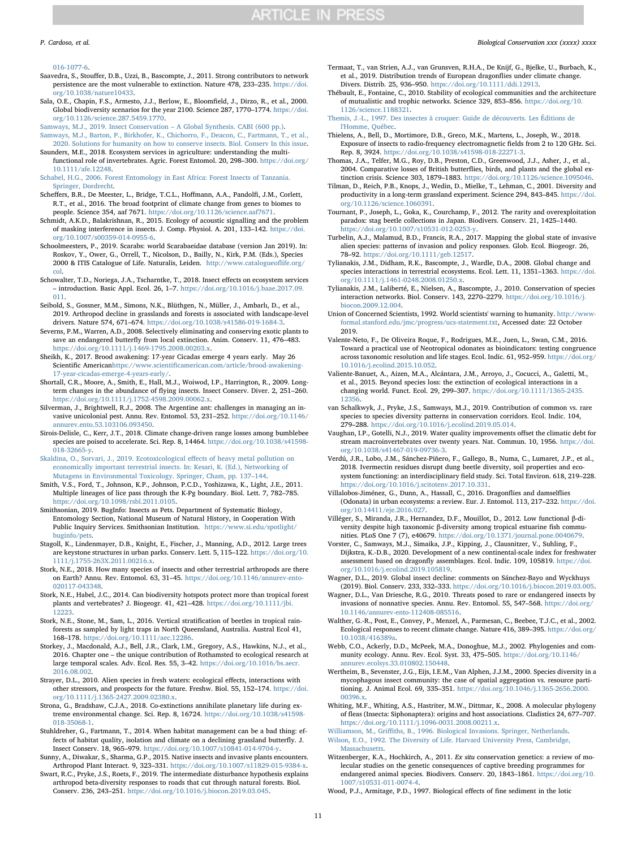#### P. Cardoso, et al. *Biological Conservation xxx (xxxx) xxxx*

[016-1077-6](https://doi.org/10.1007/s10530-016-1077-6).

- <span id="page-10-53"></span>Saavedra, S., Stouffer, D.B., Uzzi, B., Bascompte, J., 2011. Strong contributors to network persistence are the most vulnerable to extinction. Nature 478, 233–235. [https://doi.](https://doi.org/10.1038/nature10433) [org/10.1038/nature10433.](https://doi.org/10.1038/nature10433)
- <span id="page-10-14"></span>Sala, O.E., Chapin, F.S., Armesto, J.J., Berlow, E., Bloomfield, J., Dirzo, R., et al., 2000. Global biodiversity scenarios for the year 2100. Science 287, 1770–1774. [https://doi.](https://doi.org/10.1126/science.287.5459.1770) [org/10.1126/science.287.5459.1770.](https://doi.org/10.1126/science.287.5459.1770)

<span id="page-10-52"></span>[Samways, M.J., 2019. Insect Conservation](http://refhub.elsevier.com/S0006-3207(19)31782-3/rf0760) – A Global Synthesis. CABI (600 pp.).

- <span id="page-10-57"></span>[Samways, M.J., Barton, P., Birkhofer, K., Chichorro, F., Deacon, C., Fartmann, T., et al.,](http://refhub.elsevier.com/S0006-3207(19)31782-3/rf0765) [2020. Solutions for humanity on how to conserve insects. Biol. Conserv In this issue.](http://refhub.elsevier.com/S0006-3207(19)31782-3/rf0765) Saunders, M.E., 2018. Ecosystem services in agriculture: understanding the multi-
- <span id="page-10-47"></span>functional role of invertebrates. Agric. Forest Entomol. 20, 298–300. [https://doi.org/](https://doi.org/10.1111/afe.12248) [10.1111/afe.12248](https://doi.org/10.1111/afe.12248).

<span id="page-10-25"></span>[Schabel, H.G., 2006. Forest Entomology in East Africa: Forest Insects of Tanzania.](http://refhub.elsevier.com/S0006-3207(19)31782-3/rf0775) [Springer, Dordrecht.](http://refhub.elsevier.com/S0006-3207(19)31782-3/rf0775)

- <span id="page-10-19"></span>Scheffers, B.R., De Meester, L., Bridge, T.C.L., Hoffmann, A.A., Pandolfi, J.M., Corlett, R.T., et al., 2016. The broad footprint of climate change from genes to biomes to people. Science 354, aaf 7671. [https://doi.org/10.1126/science.aaf7671.](https://doi.org/10.1126/science.aaf7671)
- <span id="page-10-41"></span>Schmidt, A.K.D., Balakrishnan, R., 2015. Ecology of acoustic signalling and the problem of masking interference in insects. J. Comp. Physiol. A. 201, 133–142. [https://doi.](https://doi.org/10.1007/s00359-014-0955-6) [org/10.1007/s00359-014-0955-6.](https://doi.org/10.1007/s00359-014-0955-6)
- <span id="page-10-29"></span>Schoolmeesters, P., 2019. Scarabs: world Scarabaeidae database (version Jan 2019). In: Roskov, Y., Ower, G., Orrell, T., Nicolson, D., Bailly, N., Kirk, P.M. (Eds.), Species 2000 & ITIS Catalogue of Life. Naturalis, Leiden. [http://www.catalogueo](http://www.catalogueoflife.org/col)flife.org/ [col.](http://www.catalogueoflife.org/col)
- <span id="page-10-55"></span>Schowalter, T.D., Noriega, J.A., Tscharntke, T., 2018. Insect effects on ecosystem services – introduction. Basic Appl. Ecol. 26, 1–7. [https://doi.org/10.1016/j.baae.2017.09.](https://doi.org/10.1016/j.baae.2017.09.011) [011](https://doi.org/10.1016/j.baae.2017.09.011).
- <span id="page-10-0"></span>Seibold, S., Gossner, M.M., Simons, N.K., Blüthgen, N., Müller, J., Ambarlı, D., et al., 2019. Arthropod decline in grasslands and forests is associated with landscape-level drivers. Nature 574, 671–674. [https://doi.org/10.1038/s41586-019-1684-3.](https://doi.org/10.1038/s41586-019-1684-3)
- <span id="page-10-16"></span>Severns, P.M., Warren, A.D., 2008. Selectively eliminating and conserving exotic plants to save an endangered butterfly from local extinction. Anim. Conserv. 11, 476–483. [https://doi.org/10.1111/j.1469-1795.2008.00203.x.](https://doi.org/10.1111/j.1469-1795.2008.00203.x)
- <span id="page-10-42"></span>Sheikh, K., 2017. Brood awakening: 17-year Cicadas emerge 4 years early. May 26 Scientific Americanhttps://www.scientifi[camerican.com/article/brood-awakening-](https://www.scientificamerican.com/article/brood-awakening-17-year-cicadas-emerge-4-years-early/)[17-year-cicadas-emerge-4-years-early/.](https://www.scientificamerican.com/article/brood-awakening-17-year-cicadas-emerge-4-years-early/)
- <span id="page-10-33"></span>Shortall, C.R., Moore, A., Smith, E., Hall, M.J., Woiwod, I.P., Harrington, R., 2009. Longterm changes in the abundance of flying insects. Insect Conserv. Diver. 2, 251–260. [https://doi.org/10.1111/j.1752-4598.2009.00062.x.](https://doi.org/10.1111/j.1752-4598.2009.00062.x)
- <span id="page-10-39"></span>Silverman, J., Brightwell, R.J., 2008. The Argentine ant: challenges in managing an invasive unicolonial pest. Annu. Rev. Entomol. 53, 231–252. [https://doi.org/10.1146/](https://doi.org/10.1146/annurev.ento.53.103106.093450) [annurev.ento.53.103106.093450](https://doi.org/10.1146/annurev.ento.53.103106.093450).
- <span id="page-10-54"></span>Sirois-Delisle, C., Kerr, J.T., 2018. Climate change-driven range losses among bumblebee species are poised to accelerate. Sci. Rep. 8, 14464. [https://doi.org/10.1038/s41598-](https://doi.org/10.1038/s41598-018-32665-y) [018-32665-y.](https://doi.org/10.1038/s41598-018-32665-y)
- <span id="page-10-9"></span>[Skaldina, O., Sorvari, J., 2019. Ecotoxicological e](http://refhub.elsevier.com/S0006-3207(19)31782-3/rf0830)ffects of heavy metal pollution on [economically important terrestrial insects. In: Kesari, K. \(Ed.\), Networking of](http://refhub.elsevier.com/S0006-3207(19)31782-3/rf0830) [Mutagens in Environmental Toxicology. Springer, Cham, pp. 137](http://refhub.elsevier.com/S0006-3207(19)31782-3/rf0830)–144.
- <span id="page-10-27"></span>Smith, V.S., Ford, T., Johnson, K.P., Johnson, P.C.D., Yoshizawa, K., Light, J.E., 2011. Multiple lineages of lice pass through the K-Pg boundary. Biol. Lett. 7, 782–785. <https://doi.org/10.1098/rsbl.2011.0105>.
- <span id="page-10-23"></span>Smithsonian, 2019. BugInfo: Insects as Pets. Department of Systematic Biology, Entomology Section, National Museum of Natural History, in Cooperation With Public Inquiry Services. Smithsonian Institution. [https://www.si.edu/spotlight/](https://www.si.edu/spotlight/buginfo/pets) [buginfo/pets.](https://www.si.edu/spotlight/buginfo/pets)
- <span id="page-10-36"></span>Stagoll, K., Lindenmayer, D.B., Knight, E., Fischer, J., Manning, A.D., 2012. Large trees are keystone structures in urban parks. Conserv. Lett. 5, 115–122. [https://doi.org/10.](https://doi.org/10.1111/j.1755-263X.2011.00216.x) [1111/j.1755-263X.2011.00216.x.](https://doi.org/10.1111/j.1755-263X.2011.00216.x)
- <span id="page-10-1"></span>Stork, N.E., 2018. How many species of insects and other terrestrial arthropods are there on Earth? Annu. Rev. Entomol. 63, 31–45. [https://doi.org/10.1146/annurev-ento-](https://doi.org/10.1146/annurev-ento-020117-043348)[020117-043348.](https://doi.org/10.1146/annurev-ento-020117-043348)
- <span id="page-10-3"></span>Stork, N.E., Habel, J.C., 2014. Can biodiversity hotspots protect more than tropical forest plants and vertebrates? J. Biogeogr. 41, 421–428. [https://doi.org/10.1111/jbi.](https://doi.org/10.1111/jbi.12223) 12223
- <span id="page-10-37"></span>Stork, N.E., Stone, M., Sam, L., 2016. Vertical stratification of beetles in tropical rainforests as sampled by light traps in North Queensland, Australia. Austral Ecol 41, 168–178. <https://doi.org/10.1111/aec.12286>.
- <span id="page-10-34"></span>Storkey, J., Macdonald, A.J., Bell, J.R., Clark, I.M., Gregory, A.S., Hawkins, N.J., et al., 2016. Chapter one – the unique contribution of Rothamsted to ecological research at large temporal scales. Adv. Ecol. Res. 55, 3–42. [https://doi.org/10.1016/bs.aecr.](https://doi.org/10.1016/bs.aecr.2016.08.002) [2016.08.002](https://doi.org/10.1016/bs.aecr.2016.08.002).
- <span id="page-10-15"></span>Strayer, D.L., 2010. Alien species in fresh waters: ecological effects, interactions with other stressors, and prospects for the future. Freshw. Biol. 55, 152–174. [https://doi.](https://doi.org/10.1111/j.1365-2427.2009.02380.x) [org/10.1111/j.1365-2427.2009.02380.x.](https://doi.org/10.1111/j.1365-2427.2009.02380.x)
- <span id="page-10-31"></span>Strona, G., Bradshaw, C.J.A., 2018. Co-extinctions annihilate planetary life during extreme environmental change. Sci. Rep. 8, 16724. [https://doi.org/10.1038/s41598-](https://doi.org/10.1038/s41598-018-35068-1) [018-35068-1.](https://doi.org/10.1038/s41598-018-35068-1)
- <span id="page-10-5"></span>Stuhldreher, G., Fartmann, T., 2014. When habitat management can be a bad thing: effects of habitat quality, isolation and climate on a declining grassland butterfly. J. Insect Conserv. 18, 965–979. <https://doi.org/10.1007/s10841-014-9704-y>.
- <span id="page-10-17"></span>Sunny, A., Diwakar, S., Sharma, G.P., 2015. Native insects and invasive plants encounters. Arthropod Plant Interact. 9, 323–331. <https://doi.org/10.1007/s11829-015-9384-x>.
- <span id="page-10-40"></span>Swart, R.C., Pryke, J.S., Roets, F., 2019. The intermediate disturbance hypothesis explains arthropod beta-diversity responses to roads that cut through natural forests. Biol. Conserv. 236, 243–251. <https://doi.org/10.1016/j.biocon.2019.03.045>.
- <span id="page-10-6"></span>Termaat, T., van Strien, A.J., van Grunsven, R.H.A., De Knijf, G., Bjelke, U., Burbach, K., et al., 2019. Distribution trends of European dragonflies under climate change. Divers. Distrib. 25, 936–950. [https://doi.org/10.1111/ddi.12913.](https://doi.org/10.1111/ddi.12913)
- <span id="page-10-48"></span>Thébault, E., Fontaine, C., 2010. Stability of ecological communities and the architecture of mutualistic and trophic networks. Science 329, 853–856. [https://doi.org/10.](https://doi.org/10.1126/science.1188321) [1126/science.1188321](https://doi.org/10.1126/science.1188321).
- <span id="page-10-26"></span>[Themis, J.-L., 1997. Des insectes à croquer: Guide de découverts. Les Éditions de](http://refhub.elsevier.com/S0006-3207(19)31782-3/rf0905) [l'Homme, Québec.](http://refhub.elsevier.com/S0006-3207(19)31782-3/rf0905)
- <span id="page-10-10"></span>Thielens, A., Bell, D., Mortimore, D.B., Greco, M.K., Martens, L., Joseph, W., 2018. Exposure of insects to radio-frequency electromagnetic fields from 2 to 120 GHz. Sci. Rep. 8, 3924. [https://doi.org/10.1038/s41598-018-22271-3.](https://doi.org/10.1038/s41598-018-22271-3)
- <span id="page-10-32"></span>Thomas, J.A., Telfer, M.G., Roy, D.B., Preston, C.D., Greenwood, J.J., Asher, J., et al., 2004. Comparative losses of British butterflies, birds, and plants and the global extinction crisis. Science 303, 1879–1883. <https://doi.org/10.1126/science.1095046>.
- <span id="page-10-45"></span>Tilman, D., Reich, P.B., Knops, J., Wedin, D., Mielke, T., Lehman, C., 2001. Diversity and productivity in a long-term grassland experiment. Science 294, 843–845. [https://doi.](https://doi.org/10.1126/science.1060391) [org/10.1126/science.1060391.](https://doi.org/10.1126/science.1060391)
- <span id="page-10-24"></span>Tournant, P., Joseph, L., Goka, K., Courchamp, F., 2012. The rarity and overexploitation paradox: stag beetle collections in Japan. Biodivers. Conserv. 21, 1425–1440. <https://doi.org/10.1007/s10531-012-0253-y>.
- <span id="page-10-11"></span>Turbelin, A.J., Malamud, B.D., Francis, R.A., 2017. Mapping the global state of invasive alien species: patterns of invasion and policy responses. Glob. Ecol. Biogeogr. 26, 78–92. [https://doi.org/10.1111/geb.12517.](https://doi.org/10.1111/geb.12517)
- <span id="page-10-49"></span>Tylianakis, J.M., Didham, R.K., Bascompte, J., Wardle, D.A., 2008. Global change and species interactions in terrestrial ecosystems. Ecol. Lett. 11, 1351–1363. [https://doi.](https://doi.org/10.1111/j.1461-0248.2008.01250.x) [org/10.1111/j.1461-0248.2008.01250.x.](https://doi.org/10.1111/j.1461-0248.2008.01250.x)
- <span id="page-10-51"></span>Tylianakis, J.M., Laliberté, E., Nielsen, A., Bascompte, J., 2010. Conservation of species interaction networks. Biol. Conserv. 143, 2270–2279. [https://doi.org/10.1016/j.](https://doi.org/10.1016/j.biocon.2009.12.004) [biocon.2009.12.004](https://doi.org/10.1016/j.biocon.2009.12.004).
- <span id="page-10-2"></span>Union of Concerned Scientists, 1992. World scientists' warning to humanity. [http://www](http://www-formal.stanford.edu/jmc/progress/ucs-statement.txt)[formal.stanford.edu/jmc/progress/ucs-statement.txt,](http://www-formal.stanford.edu/jmc/progress/ucs-statement.txt) Accessed date: 22 October 2019.
- <span id="page-10-20"></span>Valente-Neto, F., De Oliveira Roque, F., Rodrigues, M.E., Juen, L., Swan, C.M., 2016. Toward a practical use of Neotropical odonates as bioindicators: testing congruence across taxonomic resolution and life stages. Ecol. Indic. 61, 952–959. [https://doi.org/](https://doi.org/10.1016/j.ecolind.2015.10.052) [10.1016/j.ecolind.2015.10.052.](https://doi.org/10.1016/j.ecolind.2015.10.052)
- <span id="page-10-50"></span>Valiente-Banuet, A., Aizen, M.A., Alcántara, J.M., Arroyo, J., Cocucci, A., Galetti, M., et al., 2015. Beyond species loss: the extinction of ecological interactions in a changing world. Funct. Ecol. 29, 299–307. [https://doi.org/10.1111/1365-2435.](https://doi.org/10.1111/1365-2435.12356) [12356.](https://doi.org/10.1111/1365-2435.12356)
- <span id="page-10-38"></span>van Schalkwyk, J., Pryke, J.S., Samways, M.J., 2019. Contribution of common vs. rare species to species diversity patterns in conservation corridors. Ecol. Indic. 104, 279–288. [https://doi.org/10.1016/j.ecolind.2019.05.014.](https://doi.org/10.1016/j.ecolind.2019.05.014)
- <span id="page-10-22"></span>Vaughan, I.P., Gotelli, N.J., 2019. Water quality improvements offset the climatic debt for stream macroinvertebrates over twenty years. Nat. Commun. 10, 1956. [https://doi.](https://doi.org/10.1038/s41467-019-09736-3) [org/10.1038/s41467-019-09736-3](https://doi.org/10.1038/s41467-019-09736-3).
- <span id="page-10-8"></span>Verdú, J.R., Lobo, J.M., Sánchez-Piñero, F., Gallego, B., Numa, C., Lumaret, J.P., et al., 2018. Ivermectin residues disrupt dung beetle diversity, soil properties and ecosystem functioning: an interdisciplinary field study. Sci. Total Environ. 618, 219–228. <https://doi.org/10.1016/j.scitotenv.2017.10.331>.
- <span id="page-10-7"></span>Villalobos-Jiménez, G., Dunn, A., Hassall, C., 2016. Dragonflies and damselflies (Odonata) in urban ecosystems: a review. Eur. J. Entomol. 113, 217–232. [https://doi.](https://doi.org/10.14411/eje.2016.027) [org/10.14411/eje.2016.027.](https://doi.org/10.14411/eje.2016.027)
- <span id="page-10-46"></span>Villéger, S., Miranda, J.R., Hernandez, D.F., Mouillot, D., 2012. Low functional β-diversity despite high taxonomic β-diversity among tropical estuarine fish communities. PLoS One 7 (7), e40679. [https://doi.org/10.1371/journal.pone.0040679.](https://doi.org/10.1371/journal.pone.0040679)
- <span id="page-10-21"></span>Vorster, C., Samways, M.J., Simaika, J.P., Kipping, J., Clausnitzer, V., Suhling, F., Dijkstra, K.-D.B., 2020. Development of a new continental-scale index for freshwater assessment based on dragonfly assemblages. Ecol. Indic. 109, 105819. [https://doi.](https://doi.org/10.1016/j.ecolind.2019.105819) [org/10.1016/j.ecolind.2019.105819](https://doi.org/10.1016/j.ecolind.2019.105819).
- <span id="page-10-35"></span>Wagner, D.L., 2019. Global insect decline: comments on Sánchez-Bayo and Wyckhuys (2019). Biol. Conserv. 233, 332–333. [https://doi.org/10.1016/j.biocon.2019.03.005.](https://doi.org/10.1016/j.biocon.2019.03.005)
- <span id="page-10-12"></span>Wagner, D.L., Van Driesche, R.G., 2010. Threats posed to rare or endangered insects by invasions of nonnative species. Annu. Rev. Entomol. 55, 547–568. [https://doi.org/](https://doi.org/10.1146/annurev-ento-112408-085516) [10.1146/annurev-ento-112408-085516.](https://doi.org/10.1146/annurev-ento-112408-085516)
- <span id="page-10-18"></span>Walther, G.-R., Post, E., Convey, P., Menzel, A., Parmesan, C., Beebee, T.J.C., et al., 2002. Ecological responses to recent climate change. Nature 416, 389–395. [https://doi.org/](https://doi.org/10.1038/416389a) [10.1038/416389a.](https://doi.org/10.1038/416389a)
- <span id="page-10-43"></span>Webb, C.O., Ackerly, D.D., McPeek, M.A., Donoghue, M.J., 2002. Phylogenies and community ecology. Annu. Rev. Ecol. Syst. 33, 475–505. [https://doi.org/10.1146/](https://doi.org/10.1146/annurev.ecolsys.33.010802.150448) [annurev.ecolsys.33.010802.150448.](https://doi.org/10.1146/annurev.ecolsys.33.010802.150448)
- <span id="page-10-30"></span>Wertheim, B., Sevenster, J.G., Eijs, I.E.M., Van Alphen, J.J.M., 2000. Species diversity in a mycophagous insect community: the case of spatial aggregation vs. resource partitioning. J. Animal Ecol. 69, 335–351. [https://doi.org/10.1046/j.1365-2656.2000.](https://doi.org/10.1046/j.1365-2656.2000.00396.x) 00396.
- <span id="page-10-28"></span>Whiting, M.F., Whiting, A.S., Hastriter, M.W., Dittmar, K., 2008. A molecular phylogeny of fleas (Insecta: Siphonaptera): origins and host associations. Cladistics 24, 677–707. [https://doi.org/10.1111/j.1096-0031.2008.00211.x.](https://doi.org/10.1111/j.1096-0031.2008.00211.x)

<span id="page-10-56"></span><span id="page-10-13"></span>Williamson, M., Griffi[ths, B., 1996. Biological Invasions. Springer, Netherlands](http://refhub.elsevier.com/S0006-3207(19)31782-3/rf1020). [Wilson, E.O., 1992. The Diversity of Life. Harvard University Press, Cambridge,](http://refhub.elsevier.com/S0006-3207(19)31782-3/rf1025) **[Massachusetts](http://refhub.elsevier.com/S0006-3207(19)31782-3/rf1025)** 

- <span id="page-10-44"></span>Witzenberger, K.A., Hochkirch, A., 2011. Ex situ conservation genetics: a review of molecular studies on the genetic consequences of captive breeding programmes for endangered animal species. Biodivers. Conserv. 20, 1843–1861. [https://doi.org/10.](https://doi.org/10.1007/s10531-011-0074-4) [1007/s10531-011-0074-4](https://doi.org/10.1007/s10531-011-0074-4).
- <span id="page-10-4"></span>Wood, P.J., Armitage, P.D., 1997. Biological effects of fine sediment in the lotic